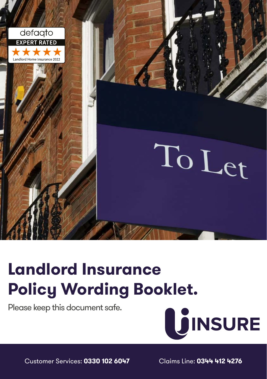

# **Landlord Insurance Policy Wording Booklet.**

Please keep this document safe.



Customer Services: **0330 102 6047** Claims Line: **0344 412 4276**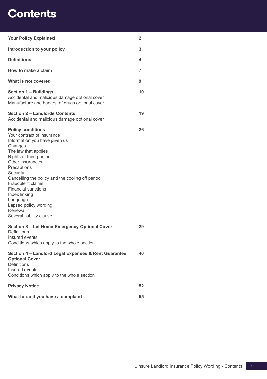### **Contents**

| <b>Your Policy Explained</b>                                                                                                                                                                                                                                                                                                                                                                                    | $\overline{2}$ |
|-----------------------------------------------------------------------------------------------------------------------------------------------------------------------------------------------------------------------------------------------------------------------------------------------------------------------------------------------------------------------------------------------------------------|----------------|
| Introduction to your policy                                                                                                                                                                                                                                                                                                                                                                                     | 3              |
| <b>Definitions</b>                                                                                                                                                                                                                                                                                                                                                                                              | 4              |
| How to make a claim                                                                                                                                                                                                                                                                                                                                                                                             | $\overline{7}$ |
| What is not covered                                                                                                                                                                                                                                                                                                                                                                                             | 9              |
| Section 1 - Buildings<br>Accidental and malicious damage optional cover<br>Manufacture and harvest of drugs optional cover                                                                                                                                                                                                                                                                                      | 10             |
| Section 2 - Landlords Contents<br>Accidental and malicious damage optional cover                                                                                                                                                                                                                                                                                                                                | 19             |
| <b>Policy conditions</b><br>Your contract of insurance<br>Information you have given us<br>Changes<br>The law that applies<br>Rights of third parties<br>Other insurances<br>Precautions<br>Security<br>Cancelling the policy and the cooling off period<br><b>Fraudulent claims</b><br><b>Financial sanctions</b><br>Index linking<br>Language<br>Lapsed policy wording<br>Renewal<br>Several liability clause | 26             |
| Section 3 - Let Home Emergency Optional Cover<br>Definitions<br>Insured events<br>Conditions which apply to the whole section                                                                                                                                                                                                                                                                                   | 29             |
| Section 4 - Landlord Legal Expenses & Rent Guarantee<br><b>Optional Cover</b><br>Definitions<br>Insured events<br>Conditions which apply to the whole section                                                                                                                                                                                                                                                   | 40             |
| <b>Privacy Notice</b>                                                                                                                                                                                                                                                                                                                                                                                           | 52             |
| What to do if you have a complaint                                                                                                                                                                                                                                                                                                                                                                              | 55             |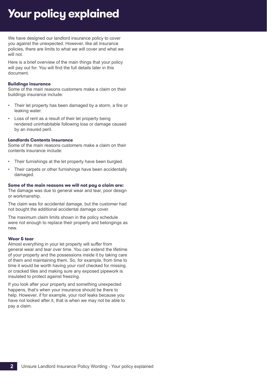## **Your policy explained**

We have designed our landlord insurance policy to cover you against the unexpected. However, like all insurance policies, there are limits to what we will cover and what we will not.

Here is a brief overview of the main things that your policy will pay out for. You will find the full details later in this document.

#### **Buildings insurance**

Some of the main reasons customers make a claim on their buildings insurance include:

- Their let property has been damaged by a storm, a fire or leaking water.
- Loss of rent as a result of their let property being rendered uninhabitable following loss or damage caused by an insured peril.

#### **Landlords Contents insurance**

Some of the main reasons customers make a claim on their contents insurance include:

- Their furnishings at the let property have been burgled.
- Their carpets or other furnishings have been accidentally damaged.

#### **Some of the main reasons we will not pay a claim are:**

The damage was due to general wear and tear, poor design or workmanship.

The claim was for accidental damage, but the customer had not bought the additional accidental damage cover.

The maximum claim limits shown in the policy schedule were not enough to replace their property and belongings as new.

#### **Wear & tear**

Almost everything in your let property will suffer from general wear and tear over time. You can extend the lifetime of your property and the possessions inside it by taking care of them and maintaining them. So, for example, from time to time it would be worth having your roof checked for missing or cracked tiles and making sure any exposed pipework is insulated to protect against freezing.

If you look after your property and something unexpected happens, that's when your insurance should be there to help. However, if for example, your roof leaks because you have not looked after it, that is when we may not be able to pay a claim.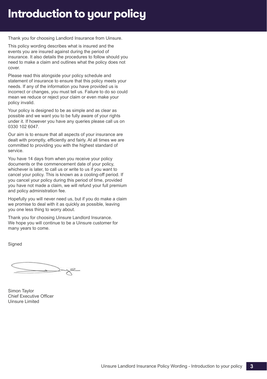### **Introduction to your policy**

Thank you for choosing Landlord Insurance from Uinsure.

This policy wording describes what is insured and the events you are insured against during the period of insurance. It also details the procedures to follow should you need to make a claim and outlines what the policy does not cover.

Please read this alongside your policy schedule and statement of insurance to ensure that this policy meets your needs. If any of the information you have provided us is incorrect or changes, you must tell us. Failure to do so could mean we reduce or reject your claim or even make your policy invalid.

Your policy is designed to be as simple and as clear as possible and we want you to be fully aware of your rights under it. If however you have any queries please call us on 0330 102 6047.

Our aim is to ensure that all aspects of your insurance are dealt with promptly, efficiently and fairly. At all times we are committed to providing you with the highest standard of service.

You have 14 days from when you receive your policy documents or the commencement date of your policy, whichever is later, to call us or write to us if you want to cancel your policy. This is known as a cooling-off period. If you cancel your policy during this period of time, provided you have not made a claim, we will refund your full premium and policy administration fee.

Hopefully you will never need us, but if you do make a claim we promise to deal with it as quickly as possible, leaving you one less thing to worry about.

Thank you for choosing Uinsure Landlord Insurance. We hope you will continue to be a Uinsure customer for many years to come.

**Signed** 

Simon Taylor Chief Executive Officer Uinsure Limited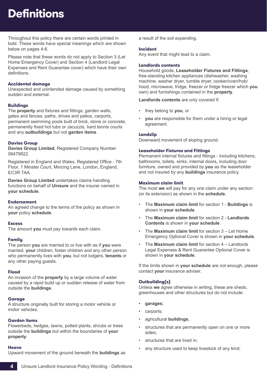## **Definitions**

Throughout this policy there are certain words printed in bold. These words have special meanings which are shown below on pages 4-6.

Please note that these words do not apply to Section 3 (Let Home Emergency Cover) and Section 4 (Landlord Legal Expenses and Rent Guarantee cover) which have their own definitions.

### **Accidental damage**

Unexpected and unintended damage caused by something sudden and external.

### **Buildings**

The **property** and fixtures and fittings, garden walls, gates and fences, paths, drives and patios, carports, permanent swimming pools built of brick, stone or concrete, permanently fixed hot tubs or Jacuzzis, hard tennis courts and any **outbuildings** but not **garden items**.

### **Davies Group**

**Davies Group Limited**, Registered Company Number 06479822.

Registered in England and Wales. Registered Office - 7th Floor, 1 Minster Court, Mincing Lane, London, England, EC3R 7AA.

**Davies Group Limited** undertakes claims handling functions on behalf of **Uinsure** and the insurer named in **your schedule**.

### **Endorsement**

An agreed change to the terms of the policy as shown in **your** policy **schedule**.

#### **Excess**

The amount **you** must pay towards each claim.

#### **Family**

The person **you** are married to or live with as if **you** were married, **your** children, foster children and any other person who permanently lives with **you**, but not lodgers, **tenants** or any other paying guests.

### **Flood**

An invasion of the **property** by a large volume of water caused by a rapid build up or sudden release of water from outside the **buildings**.

#### **Garage**

A structure originally built for storing a motor vehicle or motor vehicles.

#### **Garden items**

Flowerbeds, hedges, lawns, potted plants, shrubs or trees outside the **buildings** but within the boundaries of **your property**.

#### **Heave**

Upward movement of the ground beneath the **buildings** as

a result of the soil expanding.

#### **Incident**

Any event that might lead to a claim.

#### **Landlords contents**

Household goods, **Leaseholder Fixtures and Fittings**, free-standing kitchen appliances (dishwasher, washing machine, washer dryer, tumble dryer, cooker/oven/hob/ hood, microwave, fridge, freezer or fridge freezer which **you** own) and furnishings contained in the **property**.

**Landlords contents** are only covered if:

- they belong to **you**; or
- **you** are responsible for them under a hiring or legal agreement.

### **Landslip**

Downward movement of sloping ground.

### **Leaseholder Fixtures and Fittings**

Permanent internal fixtures and fittings - including kitchens, bathrooms, toilets, sinks, internal doors, including door furniture, owned and provided by **you** as the leaseholder and not insured by any **buildings** insurance policy.

#### **Maximum claim limit**

The most **we** will pay for any one claim under any section (or its extension) as shown in the **schedule**.

- The **Maximum claim limit** for section 1 **Buildings** is shown in **your schedule**.
- The **Maximum claim limit** for section 2 **Landlords Contents** is shown in **your schedule**.
- The **Maximum claim limit** for section 3 Let Home Emergency Optional Cover is shown in **your schedule**.
- The **Maximum claim limit** for section 4 Landlords Legal Expenses & Rent Guarantee Optional Cover is shown in **your schedule**.

If the limits shown in **your schedule** are not enough, please contact **your** insurance adviser.

### **Outbuilding(s)**

Unless **we** agree otherwise in writing, these are sheds, greenhouses and other structures but do not include:

- **garages**;
- carports;
- agricultural **buildings**;
- structures that are permanently open on one or more sides;
- structures that are lived in:
- any structure used to keep livestock of any kind: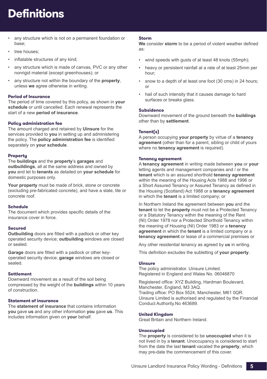## **Definitions**

- any structure which is not on a permanent foundation or base;
- tree houses:
- inflatable structures of any kind;
- any structure which is made of canvas, PVC or any other nonrigid material (except greenhouses); or
- any structure not within the boundary of the **property**, unless **we** agree otherwise in writing.

### **Period of Insurance**

The period of time covered by this policy, as shown in **your schedule** or until cancelled. Each renewal represents the start of a new **period of insurance**.

### **Policy administration fee**

The amount charged and retained by **Uinsure** for the services provided to **you** in setting up and administering the policy. The **policy administration fee** is identified separately on **your schedule**.

### **Property**

The **buildings** and the **property**'s **garages** and **outbuildings**, all at the same address and owned by **you** and let to **tenants** as detailed on **your schedule** for domestic purposes only.

**Your property** must be made of brick, stone or concrete (excluding pre-fabricated concrete), and have a slate, tile or concrete roof.

### **Schedule**

The document which provides specific details of the insurance cover in force.

#### **Secured**

**Outbuilding** doors are fitted with a padlock or other key operated security device; **outbuilding** windows are closed or sealed.

**Garage** doors are fitted with a padlock or other keyoperated security device; **garage** windows are closed or sealed.

#### **Settlement**

Downward movement as a result of the soil being compressed by the weight of the **buildings** within 10 years of construction.

### **Statement of insurance**

The **statement of insurance** that contains information **you** gave **us** and any other information **you** gave **us**. This includes information given on **your** behalf.

#### **Storm**

**We** consider **storm** to be a period of violent weather defined as:

- wind speeds with gusts of at least 48 knots (55mph);
- heavy or persistent rainfall at a rate of at least 25mm per hour;
- snow to a depth of at least one foot (30 cms) in 24 hours; or
- hail of such intensity that it causes damage to hard surfaces or breaks glass.

### **Subsidence**

Downward movement of the ground beneath the **buildings** other than by **settlement**.

### **Tenant(s)**

A person occupying **your property** by virtue of a **tenancy agreement** (other than for a parent, sibling or child of yours where no **tenancy agreement** is required).

#### **Tenancy agreement**

A **tenancy agreement** in writing made between **you** or **your** letting agents and management companies and / or the **tenant** which is an assured shorthold **tenancy agreement** within the meaning of the Housing Acts 1988 and 1996 or a Short Assured Tenancy or Assured Tenancy as defined in the Housing (Scotland) Act 1988 or a **tenancy agreement** in which the **tenant** is a limited company; or

In Northern Ireland the agreement between **you** and the **tenant** to let the **property** must not be a Protected Tenancy or a Statutory Tenancy within the meaning of the Rent (NI) Order 1978 nor a Protected Shorthold Tenancy within the meaning of Housing (NI) Order 1983 or a **tenancy agreement** in which the **tenant** is a limited company or a **tenancy agreement** or lease of a commercial premises or

Any other residential tenancy as agreed by **us** in writing.

This definition excludes the subletting of **your property**.

### **Uinsure**

The policy administrator. Uinsure Limited. Registered in England and Wales No. 06046870

Registered office: XYZ Building, Hardman Boulevard, Manchester, England, M3 3AQ. Trading office: PO Box 5524, Manchester, M61 0QR. Uinsure Limited is authorised and regulated by the Financial Conduct Authority.No 463689.

#### **United Kingdom**

Great Britain and Northern Ireland.

#### **Unoccupied**

The **property** is considered to be **unoccupied** when it is not lived in by a **tenant**. Unoccupancy is considered to start from the date the last **tenant** vacated the **property**, which may pre-date the commencement of this cover.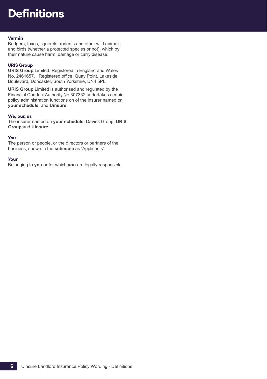### **Definitions**

### **Vermin**

Badgers, foxes, squirrels, rodents and other wild animals and birds (whether a protected species or not), which by their nature cause harm, damage or carry disease.

### **URIS Group**

**URIS Group** Limited. Registered in England and Wales No. 2461657. Registered office: Quay Point, Lakeside Boulevard, Doncaster, South Yorkshire, DN4 5PL.

**URIS Group** Limited is authorised and regulated by the Financial Conduct Authority.No 307332 undertakes certain policy administration functions on of the insurer named on **your schedule**, and **Uinsure**.

### **We, our, us**

The insurer named on **your schedule**, Davies Group, **URIS Group** and **Uinsure**.

### **You**

The person or people, or the directors or partners of the business, shown in the **schedule** as 'Applicants'

### **Your**

Belonging to **you** or for which **you** are legally responsible.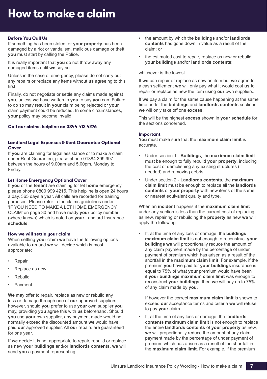### **How to make a claim**

### **Before You Call Us**

If something has been stolen, or **your property** has been damaged by a riot or vandalism, malicious damage or theft, **you** must start by calling the Police.

It is really important that **you** do not throw away any damaged items until **we** say so.

Unless in the case of emergency, please do not carry out any repairs or replace any items without **us** agreeing to this first.

Finally, do not negotiate or settle any claims made against **you**, unless **we** have written to **you** to say **you** can. Failure to do so may result in **your** claim being rejected or **your** claim payment could be reduced. In some circumstances, **your** policy may become invalid.

### **Call our claims helpline on 0344 412 4276**

#### **Landlord Legal Expenses & Rent Guarantee Optional Cover**

If **you** are claiming for legal assistance or to make a claim under Rent Guarantee, please phone 01384 399 997 between the hours of 9.00am and 5.00pm, Monday to Friday.

### **Let Home Emergency Optional Cover**

If **you** or the **tenant** are claiming for let **home** emergency, please phone 0800 999 4215. This helpline is open 24 hours a day, 365 days a year. All calls are recorded for training purposes. Please refer to the claims guidelines under 'IF YOU NEED TO MAKE A LET HOME EMERGENCY CLAIM' on page 30 and have ready **your** policy number (where known) which is noted on **your** Landlord Insurance **schedule**.

### **How we will settle your claim**

When settling **your** claim **we** have the following options available to **us** and **we** will decide which is most appropriate:

- **Repair**
- Replace as new
- Rebuild
- **Payment**

**We** may offer to repair, replace as new or rebuild any loss or damage through one of **our** approved suppliers, however, should **you** prefer to use **your** own supplier **you** may, providing **you** agree this with **us** beforehand. Should **you** use **your** own supplier, any payment made would not normally exceed the discounted amount **we** would have paid **our** approved supplier. All **our** repairs are guaranteed for one year.

If **we** decide it is not appropriate to repair, rebuild or replace as new **your buildings** and/or **landlords contents**, **we** will send **you** a payment representing:

- the amount by which the **buildings** and/or **landlords contents** has gone down in value as a result of the claim; or
- the estimated cost to repair, replace as new or rebuild **your buildings** and/or **landlords contents**;

### whichever is the lowest.

If **we** can repair or replace as new an item but **we** agree to a cash settlement **we** will only pay what it would cost **us** to repair or replace as new the item using **our** own suppliers.

If **we** pay a claim for the same cause happening at the same time under the **buildings** and **landlords contents** sections, **we** will only take off one **excess**.

This will be the highest **excess** shown in **your schedule** for the sections concerned.

### **Important**

**You** must make sure that the **maximum claim limit** is accurate.

- Under section 1 **Buildings**, the **maximum claim limit** must be enough to fully rebuild **your property**, including the cost of demolishing any existing structures (if needed) and removing debris.
- Under section 2 **Landlords contents**, the **maximum claim limit** must be enough to replace all the **landlords contents** of **your property** with new items of the same or nearest equivalent quality and type.

When an **incident** happens if the **maximum claim limit** under any section is less than the current cost of replacing as new, repairing or rebuilding the **property** as new **we** will apply the following:

• If, at the time of any loss or damage, the **buildings maximum claim limit** is not enough to reconstruct **your buildings we** will proportionally reduce the amount of any claim payment made by the percentage of under payment of premium which has arisen as a result of the shortfall in the **maximum claim limit**. For example, if the premium **you** have paid for **your buildings** insurance is equal to 75% of what **your** premium would have been if **your buildings maximum claim limit** was enough to reconstruct **your buildings**, then **we** will pay up to 75% of any claim made by **you**.

If however the correct **maximum claim limit** is shown to exceed **our** acceptance terms and criteria **we** will refuse to pay **your** claim.

• If, at the time of any loss or damage, the **landlords contents maximum claim limit** is not enough to replace the entire **landlords contents** of **your property** as new, **we** will proportionally reduce the amount of any claim payment made by the percentage of under payment of premium which has arisen as a result of the shortfall in the **maximum claim limit**. For example, if the premium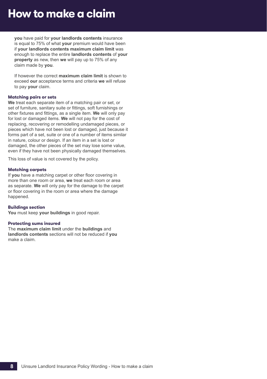### **How to make a claim**

**you** have paid for **your landlords contents** insurance is equal to 75% of what **your** premium would have been if **your landlords contents maximum claim limit** was enough to replace the entire **landlords contents** of **your property** as new, then **we** will pay up to 75% of any claim made by **you**.

If however the correct **maximum claim limit** is shown to exceed **our** acceptance terms and criteria **we** will refuse to pay **your** claim.

### **Matching pairs or sets**

**We** treat each separate item of a matching pair or set, or set of furniture, sanitary suite or fittings, soft furnishings or other fixtures and fittings, as a single item. **We** will only pay for lost or damaged items. **We** will not pay for the cost of replacing, recovering or remodelling undamaged pieces, or pieces which have not been lost or damaged, just because it forms part of a set, suite or one of a number of items similar in nature, colour or design. If an item in a set is lost or damaged, the other pieces of the set may lose some value, even if they have not been physically damaged themselves.

This loss of value is not covered by the policy.

#### **Matching carpets**

If **you** have a matching carpet or other floor covering in more than one room or area, **we** treat each room or area as separate. **We** will only pay for the damage to the carpet or floor covering in the room or area where the damage happened.

### **Buildings section**

**You** must keep **your buildings** in good repair.

#### **Protecting sums insured**

The **maximum claim limit** under the **buildings** and **landlords contents** sections will not be reduced if **you** make a claim.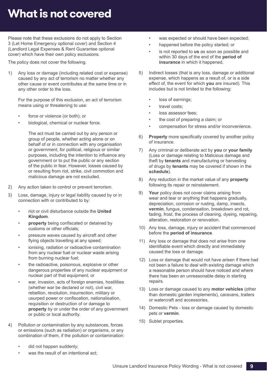## **What is not covered**

Please note that these exclusions do not apply to Section 3 (Let Home Emergency optional cover) and Section 4 (Landlord Legal Expenses & Rent Guarantee optional cover) which have their own policy exclusions.

The policy does not cover the following.

1) Any loss or damage (including related cost or expense) caused by any act of terrorism no matter whether any other cause or event contributes at the same time or in any other order to the loss.

For the purpose of this exclusion, an act of terrorism means using or threatening to use:

- force or violence (or both); or
- biological, chemical or nuclear force.

The act must be carried out by any person or group of people, whether acting alone or on behalf of or in connection with any organisation or government, for political, religious or similar purposes, including the intention to influence any government or to put the public or any section of the public in fear. However, losses caused by or resulting from riot, strike, civil commotion and malicious damage are not excluded.

- 2) Any action taken to control or prevent terrorism.
- 3) Loss, damage, injury or legal liability caused by or in connection with or contributed to by:
	- riot or civil disturbance outside the **United Kingdom**.
	- **property** being confiscated or detained by customs or other officials;
	- pressure waves caused by aircraft and other flying objects travelling at any speed:
	- ionising, radiation or radioactive contamination from any nuclear fuel or nuclear waste arising from burning nuclear fuel;
	- the radioactive, poisonous, explosive or other dangerous properties of any nuclear equipment or nuclear part of that equipment; or
	- war, invasion, acts of foreign enemies, hostilities (whether war be declared or not), civil war, rebellion, revolution, insurrection, military or usurped power or confiscation, nationalisation, requisition or destruction of or damage to **property** by or under the order of any government or public or local authority.
- 4) Pollution or contamination by any substances, forces or emissions (such as radiation) or organisms, or any combination of them, if the pollution or contamination:
	- did not happen suddenly:
	- was the result of an intentional act:
- was expected or should have been expected:
- happened before the policy started; or
- is not reported to **us** as soon as possible and within 30 days of the end of the **period of insurance** in which it happened.
- 5) Indirect losses (that is any loss, damage or additional expense, which happens as a result of, or is a side effect of, the event for which **you** are insured). This includes but is not limited to the following:
	- loss of earnings;
	- travel costs:
	- loss assessor fees:
	- the cost of preparing a claim; or
	- compensation for stress and/or inconvenience.
- 6) **Property** more specifically covered by another policy of insurance.
- 7) Any criminal or deliberate act by **you** or **your family** (Loss or damage relating to Malicious damage and theft by **tenants** and manufacturing or harvesting of drugs by **tenants** may be covered if shown in the **schedule**).
- 8) Any reduction in the market value of any **property** following its repair or reinstatement.
- 9) **Your** policy does not cover claims arising from wear and tear or anything that happens gradually, depreciation, corrosion or rusting, damp, insects, **vermin**, fungus, condensation, breakdown and rot, fading, frost, the process of cleaning, dyeing, repairing, alteration, restoration or renovation.
- 10) Any loss, damage, injury or accident that commenced before the **period of insurance**.
- 11) Any loss or damage that does not arise from one identifiable event which directly and immediately caused the loss or damage.
- 12) Loss or damage that would not have arisen if there had not been a failure to deal with existing damage which a reasonable person should have noticed and where there has been an unreasonable delay in starting repairs.
- 13) Loss or damage caused to any **motor vehicles** (other than domestic garden implements), caravans, trailers or watercraft and accessories.
- 14) Domestic Pets loss or damage caused by domestic pets or **vermin**.
- 15) Sublet properties.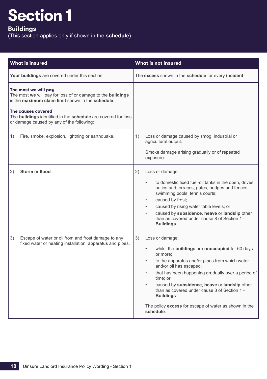### **Buildings**

| <b>What is insured</b>                                                                                                                                                                                                                                                       | <b>What is not insured</b>                                                                                                                                                                                                                                                                                                                                                                                                                         |  |
|------------------------------------------------------------------------------------------------------------------------------------------------------------------------------------------------------------------------------------------------------------------------------|----------------------------------------------------------------------------------------------------------------------------------------------------------------------------------------------------------------------------------------------------------------------------------------------------------------------------------------------------------------------------------------------------------------------------------------------------|--|
| Your buildings are covered under this section.                                                                                                                                                                                                                               | The excess shown in the schedule for every incident.                                                                                                                                                                                                                                                                                                                                                                                               |  |
| The most we will pay<br>The most we will pay for loss of or damage to the buildings<br>is the maximum claim limit shown in the schedule.<br>The causes covered<br>The buildings identified in the schedule are covered for loss<br>or damage caused by any of the following: |                                                                                                                                                                                                                                                                                                                                                                                                                                                    |  |
| Fire, smoke, explosion, lightning or earthquake.<br>1)                                                                                                                                                                                                                       | Loss or damage caused by smog, industrial or<br>1)<br>agricultural output.<br>Smoke damage arising gradually or of repeated<br>exposure.                                                                                                                                                                                                                                                                                                           |  |
| Storm or flood.<br>2)                                                                                                                                                                                                                                                        | 2)<br>Loss or damage:<br>to domestic fixed fuel-oil tanks in the open, drives,<br>patios and terraces, gates, hedges and fences,<br>swimming pools, tennis courts;<br>caused by frost;<br>$\bullet$<br>caused by rising water table levels; or<br>$\bullet$<br>caused by subsidence, heave or landslip other<br>$\bullet$<br>than as covered under cause 8 of Section 1 -<br>Buildings.                                                            |  |
| Escape of water or oil from and frost damage to any<br>3)<br>fixed water or heating installation, apparatus and pipes.                                                                                                                                                       | 3)<br>Loss or damage:<br>whilst the buildings are unoccupied for 60 days<br>or more;<br>to the apparatus and/or pipes from which water<br>$\bullet$<br>and/or oil has escaped;<br>that has been happening gradually over a period of<br>$\bullet$<br>time: or<br>caused by subsidence, heave or landslip other<br>than as covered under cause 8 of Section 1 -<br>Buildings.<br>The policy excess for escape of water as shown in the<br>schedule. |  |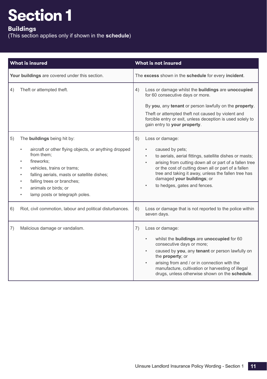### **Buildings**

| <b>What is insured</b>                                                                                                                                                              |                                                                                                      | <b>What is not insured</b>                                                                                                                                                                                                                                                                                                                               |  |
|-------------------------------------------------------------------------------------------------------------------------------------------------------------------------------------|------------------------------------------------------------------------------------------------------|----------------------------------------------------------------------------------------------------------------------------------------------------------------------------------------------------------------------------------------------------------------------------------------------------------------------------------------------------------|--|
| Your buildings are covered under this section.                                                                                                                                      |                                                                                                      | The excess shown in the schedule for every incident.                                                                                                                                                                                                                                                                                                     |  |
| 4)<br>Theft or attempted theft.                                                                                                                                                     |                                                                                                      | 4)<br>Loss or damage whilst the buildings are unoccupied<br>for 60 consecutive days or more.<br>By you, any tenant or person lawfully on the property.<br>Theft or attempted theft not caused by violent and<br>forcible entry or exit, unless deception is used solely to<br>gain entry to your property.                                               |  |
| The buildings being hit by:<br>5)<br>from them:<br>fireworks:<br>vehicles, trains or trams;<br>falling trees or branches;<br>animals or birds: or<br>lamp posts or telegraph poles. | aircraft or other flying objects, or anything dropped<br>falling aerials, masts or satellite dishes; | 5)<br>Loss or damage:<br>caused by pets;<br>to aerials, aerial fittings, satellite dishes or masts;<br>arising from cutting down all or part of a fallen tree<br>or the cost of cutting down all or part of a fallen<br>tree and taking it away, unless the fallen tree has<br>damaged your buildings; or<br>to hedges, gates and fences.                |  |
| 6)                                                                                                                                                                                  | Riot, civil commotion, labour and political disturbances.                                            | 6)<br>Loss or damage that is not reported to the police within<br>seven days.                                                                                                                                                                                                                                                                            |  |
| Malicious damage or vandalism.<br>7)                                                                                                                                                |                                                                                                      | 7)<br>Loss or damage:<br>whilst the buildings are unoccupied for 60<br>$\bullet$<br>consecutive days or more;<br>caused by you, any tenant or person lawfully on<br>the property; or<br>arising from and / or in connection with the<br>$\bullet$<br>manufacture, cultivation or harvesting of illegal<br>drugs, unless otherwise shown on the schedule. |  |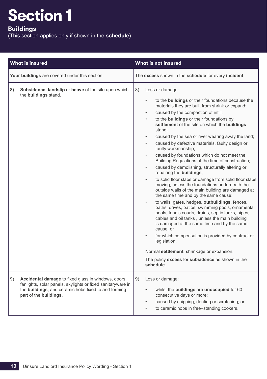### **Buildings**

| <b>What is insured</b>                                                                                                                                                                                             | <b>What is not insured</b>                                                                                                                                                                                                                                                                                                                                                                                                                                                                                                                                                                                                                                                                                                                                                                                                                                                                                                                                                                                                                                                                                                                                                                                                                                                                                                        |
|--------------------------------------------------------------------------------------------------------------------------------------------------------------------------------------------------------------------|-----------------------------------------------------------------------------------------------------------------------------------------------------------------------------------------------------------------------------------------------------------------------------------------------------------------------------------------------------------------------------------------------------------------------------------------------------------------------------------------------------------------------------------------------------------------------------------------------------------------------------------------------------------------------------------------------------------------------------------------------------------------------------------------------------------------------------------------------------------------------------------------------------------------------------------------------------------------------------------------------------------------------------------------------------------------------------------------------------------------------------------------------------------------------------------------------------------------------------------------------------------------------------------------------------------------------------------|
| Your buildings are covered under this section.                                                                                                                                                                     | The excess shown in the schedule for every incident.                                                                                                                                                                                                                                                                                                                                                                                                                                                                                                                                                                                                                                                                                                                                                                                                                                                                                                                                                                                                                                                                                                                                                                                                                                                                              |
| 8)<br>Subsidence, landslip or heave of the site upon which<br>the buildings stand.                                                                                                                                 | 8)<br>Loss or damage:<br>to the buildings or their foundations because the<br>materials they are built from shrink or expand;<br>caused by the compaction of infill;<br>٠<br>to the buildings or their foundations by<br>settlement of the site on which the buildings<br>stand:<br>caused by the sea or river wearing away the land;<br>$\bullet$<br>caused by defective materials, faulty design or<br>faulty workmanship;<br>caused by foundations which do not meet the<br>$\bullet$<br>Building Regulations at the time of construction;<br>caused by demolishing, structurally altering or<br>٠<br>repairing the buildings;<br>to solid floor slabs or damage from solid floor slabs<br>$\bullet$<br>moving, unless the foundations underneath the<br>outside walls of the main building are damaged at<br>the same time and by the same cause;<br>to walls, gates, hedges, outbuildings, fences,<br>$\bullet$<br>paths, drives, patios, swimming pools, ornamental<br>pools, tennis courts, drains, septic tanks, pipes,<br>cables and oil tanks, unless the main building<br>is damaged at the same time and by the same<br>cause; or<br>for which compensation is provided by contract or<br>legislation.<br>Normal settlement, shrinkage or expansion.<br>The policy excess for subsidence as shown in the<br>schedule. |
| Accidental damage to fixed glass in windows, doors,<br>9)<br>fanlights, solar panels, skylights or fixed sanitaryware in<br>the <b>buildings</b> , and ceramic hobs fixed to and forming<br>part of the buildings. | 9)<br>Loss or damage:<br>whilst the buildings are unoccupied for 60<br>$\bullet$<br>consecutive days or more;<br>caused by chipping, denting or scratching; or<br>to ceramic hobs in free-standing cookers.                                                                                                                                                                                                                                                                                                                                                                                                                                                                                                                                                                                                                                                                                                                                                                                                                                                                                                                                                                                                                                                                                                                       |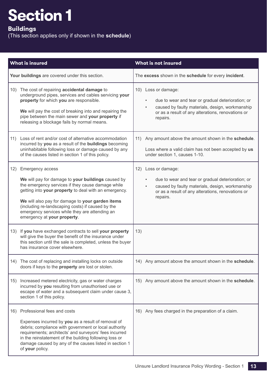### **Buildings**

| <b>What is insured</b>                                                                                                                                                                                                                                                                                                                                                             | <b>What is not insured</b>                                                                                                                                                                   |
|------------------------------------------------------------------------------------------------------------------------------------------------------------------------------------------------------------------------------------------------------------------------------------------------------------------------------------------------------------------------------------|----------------------------------------------------------------------------------------------------------------------------------------------------------------------------------------------|
| Your buildings are covered under this section.                                                                                                                                                                                                                                                                                                                                     | The excess shown in the schedule for every incident.                                                                                                                                         |
| 10) The cost of repairing accidental damage to<br>underground pipes, services and cables servicing your<br>property for which you are responsible.<br>We will pay the cost of breaking into and repairing the<br>pipe between the main sewer and your property if<br>releasing a blockage fails by normal means.                                                                   | 10) Loss or damage:<br>due to wear and tear or gradual deterioration; or<br>caused by faulty materials, design, workmanship<br>or as a result of any alterations, renovations or<br>repairs. |
| 11) Loss of rent and/or cost of alternative accommodation<br>incurred by you as a result of the buildings becoming<br>uninhabitable following loss or damage caused by any<br>of the causes listed in section 1 of this policy.                                                                                                                                                    | 11) Any amount above the amount shown in the schedule.<br>Loss where a valid claim has not been accepted by us<br>under section 1, causes 1-10.                                              |
| 12) Emergency access<br>We will pay for damage to your buildings caused by<br>the emergency services if they cause damage while<br>getting into your property to deal with an emergency.<br>We will also pay for damage to your garden items<br>(including re-landscaping costs) if caused by the<br>emergency services while they are attending an<br>emergency at your property. | 12) Loss or damage:<br>due to wear and tear or gradual deterioration; or<br>caused by faulty materials, design, workmanship<br>or as a result of any alterations, renovations or<br>repairs. |
| 13) If you have exchanged contracts to sell your property<br>will give the buyer the benefit of the insurance under<br>this section until the sale is completed, unless the buyer<br>has insurance cover elsewhere.                                                                                                                                                                | 13)                                                                                                                                                                                          |
| 14) The cost of replacing and installing locks on outside<br>doors if keys to the property are lost or stolen.                                                                                                                                                                                                                                                                     | 14) Any amount above the amount shown in the schedule.                                                                                                                                       |
| 15) Increased metered electricity, gas or water charges<br>incurred by you resulting from unauthorised use or<br>escape of water and a subsequent claim under cause 3,<br>section 1 of this policy.                                                                                                                                                                                | 15) Any amount above the amount shown in the schedule.                                                                                                                                       |
| 16) Professional fees and costs<br>Expenses incurred by you as a result of removal of<br>debris; compliance with government or local authority<br>requirements; architects' and surveyors' fees incurred<br>in the reinstatement of the building following loss or<br>damage caused by any of the causes listed in section 1<br>of your policy.                                    | 16) Any fees charged in the preparation of a claim.                                                                                                                                          |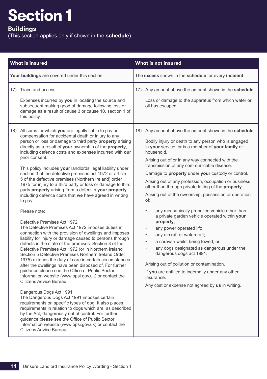### **Buildings**

| Your buildings are covered under this section.<br>17) Trace and access<br>Expenses incurred by you in locating the source and<br>subsequent making good of damage following loss or<br>damage as a result of cause 3 or cause 10, section 1 of<br>this policy.<br>18) All sums for which you are legally liable to pay as<br>compensation for accidental death or injury to any<br>person or loss or damage to third party property arising<br>directly as a result of your ownership of the property.<br>including defence costs and expenses incurred with our<br>household.                                                                                                                                                                                                                                                                                                                                                                                                                                                                                                                                                                                                                                                                                                                                                                                                                                                                                                         | The excess shown in the schedule for every incident.<br>17) Any amount above the amount shown in the schedule.<br>Loss or damage to the apparatus from which water or<br>oil has escaped.<br>18) Any amount above the amount shown in the schedule.<br>Bodily injury or death to any person who is engaged<br>in your service, or is a member of your family or                                                                                                                                                                                                                                                                                                                                                                                                          |
|----------------------------------------------------------------------------------------------------------------------------------------------------------------------------------------------------------------------------------------------------------------------------------------------------------------------------------------------------------------------------------------------------------------------------------------------------------------------------------------------------------------------------------------------------------------------------------------------------------------------------------------------------------------------------------------------------------------------------------------------------------------------------------------------------------------------------------------------------------------------------------------------------------------------------------------------------------------------------------------------------------------------------------------------------------------------------------------------------------------------------------------------------------------------------------------------------------------------------------------------------------------------------------------------------------------------------------------------------------------------------------------------------------------------------------------------------------------------------------------|--------------------------------------------------------------------------------------------------------------------------------------------------------------------------------------------------------------------------------------------------------------------------------------------------------------------------------------------------------------------------------------------------------------------------------------------------------------------------------------------------------------------------------------------------------------------------------------------------------------------------------------------------------------------------------------------------------------------------------------------------------------------------|
|                                                                                                                                                                                                                                                                                                                                                                                                                                                                                                                                                                                                                                                                                                                                                                                                                                                                                                                                                                                                                                                                                                                                                                                                                                                                                                                                                                                                                                                                                        |                                                                                                                                                                                                                                                                                                                                                                                                                                                                                                                                                                                                                                                                                                                                                                          |
|                                                                                                                                                                                                                                                                                                                                                                                                                                                                                                                                                                                                                                                                                                                                                                                                                                                                                                                                                                                                                                                                                                                                                                                                                                                                                                                                                                                                                                                                                        |                                                                                                                                                                                                                                                                                                                                                                                                                                                                                                                                                                                                                                                                                                                                                                          |
| prior consent.<br>This policy includes your landlords' legal liability under<br>section 3 of the defective premises act 1972 or article<br>5 of the defective premises (Northern Ireland) order<br>1975 for injury to a third party or loss or damage to third<br>party property arising from a defect in your property<br>including defence costs that we have agreed in writing<br>of:<br>to pay.<br>Please note:<br>Defective Premises Act 1972<br>The Defective Premises Act 1972 imposes duties in<br>connection with the provision of dwellings and imposes<br>liability for injury or damage caused to persons through<br>$\bullet$<br>defects in the state of the premises. Section 3 of the<br>Defective Premises Act 1972 (or in Northern Ireland<br>Section 5 Defective Premises Northern Ireland Order<br>1975) extends the duty of care in certain circumstances<br>after the dwellings have been disposed of. For further<br>quidance please see the Office of Public Sector<br>Information website (www.opsi.gov.uk) or contact the<br>insurance.<br>Citizens Advice Bureau.<br>Dangerous Dogs Act 1991<br>The Dangerous Dogs Act 1991 imposes certain<br>requirements on specific types of dog. It also places<br>requirements in relation to dogs which are, as described<br>by the Act, dangerously out of control. For further<br>guidance please see the Office of Public Sector<br>Information website (www.opsi.gov.uk) or contact the<br>Citizens Advice Bureau | Arising out of or in any way connected with the<br>transmission of any communicable disease.<br>Damage to property under your custody or control.<br>Arising out of any profession, occupation or business<br>other than through private letting of the property.<br>Arising out of the ownership, possession or operation<br>any mechanically propelled vehicle other than<br>a private garden vehicle operated within your<br>property;<br>any power operated lift;<br>any aircraft or watercraft;<br>a caravan whilst being towed; or<br>any dogs designated as dangerous under the<br>dangerous dogs act 1991.<br>Arising out of pollution or contamination.<br>If you are entitled to indemnity under any other<br>Any cost or expense not agreed by us in writing. |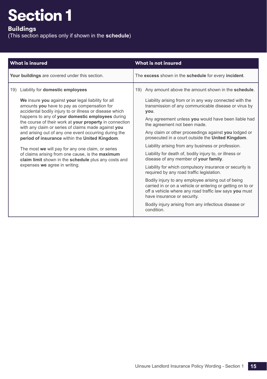### **Buildings**

| What is insured                                                                                                                                                                                                                                                                                                                                                                                                                                                                                                                                                                                                                                                                         | <b>What is not insured</b>                                                                                                                                                                                                                                                                                                                                                                                                                                                                                                                                                                                                                                                                                                                                                                                                                                                                                                                 |
|-----------------------------------------------------------------------------------------------------------------------------------------------------------------------------------------------------------------------------------------------------------------------------------------------------------------------------------------------------------------------------------------------------------------------------------------------------------------------------------------------------------------------------------------------------------------------------------------------------------------------------------------------------------------------------------------|--------------------------------------------------------------------------------------------------------------------------------------------------------------------------------------------------------------------------------------------------------------------------------------------------------------------------------------------------------------------------------------------------------------------------------------------------------------------------------------------------------------------------------------------------------------------------------------------------------------------------------------------------------------------------------------------------------------------------------------------------------------------------------------------------------------------------------------------------------------------------------------------------------------------------------------------|
| Your buildings are covered under this section.                                                                                                                                                                                                                                                                                                                                                                                                                                                                                                                                                                                                                                          | The excess shown in the schedule for every incident.                                                                                                                                                                                                                                                                                                                                                                                                                                                                                                                                                                                                                                                                                                                                                                                                                                                                                       |
| 19) Liability for domestic employees<br>We insure you against your legal liability for all<br>amounts you have to pay as compensation for<br>accidental bodily injury to or illness or disease which<br>happens to any of your domestic employees during<br>the course of their work at your property in connection<br>with any claim or series of claims made against you<br>and arising out of any one event occurring during the<br>period of insurance within the United Kingdom.<br>The most we will pay for any one claim, or series<br>of claims arising from one cause, is the maximum<br>claim limit shown in the schedule plus any costs and<br>expenses we agree in writing. | 19) Any amount above the amount shown in the schedule.<br>Liability arising from or in any way connected with the<br>transmission of any communicable disease or virus by<br>you.<br>Any agreement unless you would have been liable had<br>the agreement not been made.<br>Any claim or other proceedings against you lodged or<br>prosecuted in a court outside the United Kingdom.<br>Liability arising from any business or profession.<br>Liability for death of, bodily injury to, or illness or<br>disease of any member of your family.<br>Liability for which compulsory insurance or security is<br>required by any road traffic legislation.<br>Bodily injury to any employee arising out of being<br>carried in or on a vehicle or entering or getting on to or<br>off a vehicle where any road traffic law says you must<br>have insurance or security.<br>Bodily injury arising from any infectious disease or<br>condition. |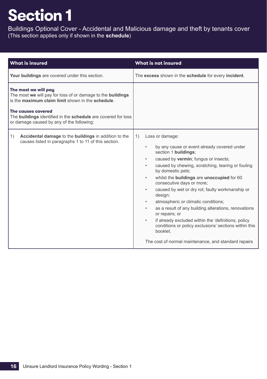Buildings Optional Cover - Accidental and Malicious damage and theft by tenants cover (This section applies only if shown in the **schedule**)

| <b>What is insured</b>                                                                                                                                                                                                                                                       | <b>What is not insured</b>                                                                                                                                                                                                                                                                                                                                                                                                                                                                                                                                                                                                                                                                              |
|------------------------------------------------------------------------------------------------------------------------------------------------------------------------------------------------------------------------------------------------------------------------------|---------------------------------------------------------------------------------------------------------------------------------------------------------------------------------------------------------------------------------------------------------------------------------------------------------------------------------------------------------------------------------------------------------------------------------------------------------------------------------------------------------------------------------------------------------------------------------------------------------------------------------------------------------------------------------------------------------|
| Your buildings are covered under this section.                                                                                                                                                                                                                               | The excess shown in the schedule for every incident.                                                                                                                                                                                                                                                                                                                                                                                                                                                                                                                                                                                                                                                    |
| The most we will pay<br>The most we will pay for loss of or damage to the buildings<br>is the maximum claim limit shown in the schedule.<br>The causes covered<br>The buildings identified in the schedule are covered for loss<br>or damage caused by any of the following: |                                                                                                                                                                                                                                                                                                                                                                                                                                                                                                                                                                                                                                                                                                         |
| 1)<br>Accidental damage to the buildings in addition to the<br>causes listed in paragraphs 1 to 11 of this section.                                                                                                                                                          | 1)<br>Loss or damage:<br>by any cause or event already covered under<br>section 1 buildings;<br>caused by vermin; fungus or insects;<br>٠<br>caused by chewing, scratching, tearing or fouling<br>٠<br>by domestic pets:<br>whilst the buildings are unoccupied for 60<br>٠<br>consecutive days or more;<br>caused by wet or dry rot; faulty workmanship or<br>۰<br>design;<br>atmospheric or climatic conditions;<br>$\bullet$<br>as a result of any building alterations, renovations<br>٠<br>or repairs; or<br>if already excluded within the 'definitions, policy<br>٠<br>conditions or policy exclusions' sections within this<br>booklet.<br>The cost of normal maintenance, and standard repairs |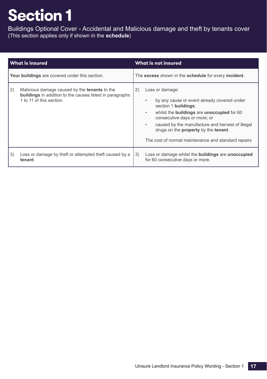Buildings Optional Cover - Accidental and Malicious damage and theft by tenants cover (This section applies only if shown in the **schedule**)

| What is insured                                                                                                                                           | What is not insured                                                                                                                                                                                                                                                                                                                                            |
|-----------------------------------------------------------------------------------------------------------------------------------------------------------|----------------------------------------------------------------------------------------------------------------------------------------------------------------------------------------------------------------------------------------------------------------------------------------------------------------------------------------------------------------|
| Your buildings are covered under this section.                                                                                                            | The excess shown in the schedule for every incident.                                                                                                                                                                                                                                                                                                           |
| 2)<br>Malicious damage caused by the <b>tenants</b> to the<br><b>buildings</b> in addition to the causes listed in paragraphs<br>1 to 11 of this section. | Loss or damage:<br>2)<br>by any cause or event already covered under<br>section 1 buildings;<br>whilst the buildings are unoccupied for 60<br>$\bullet$<br>consecutive days or more; or<br>caused by the manufacture and harvest of illegal<br>٠<br>drugs on the <b>property</b> by the <b>tenant</b> .<br>The cost of normal maintenance and standard repairs |
| 3)<br>Loss or damage by theft or attempted theft caused by a<br>tenant.                                                                                   | 3)<br>Loss or damage whilst the buildings are unoccupied<br>for 60 consecutive days or more.                                                                                                                                                                                                                                                                   |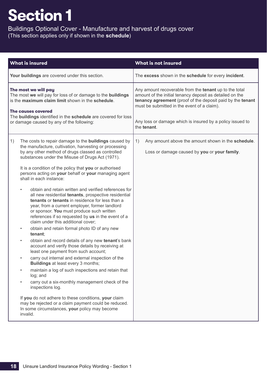Buildings Optional Cover - Manufacture and harvest of drugs cover (This section applies only if shown in the **schedule**)

| <b>What is insured</b>                                                                                                                                                                                                                                                                                                                                                                                                                                                                                                                                                                                                                                                                                                                                                                                                                                                                                                                                                                                                                                                                                                                                                                                                                                                                                                                                                                        | <b>What is not insured</b>                                                                                                                                                                                                                                                                                  |
|-----------------------------------------------------------------------------------------------------------------------------------------------------------------------------------------------------------------------------------------------------------------------------------------------------------------------------------------------------------------------------------------------------------------------------------------------------------------------------------------------------------------------------------------------------------------------------------------------------------------------------------------------------------------------------------------------------------------------------------------------------------------------------------------------------------------------------------------------------------------------------------------------------------------------------------------------------------------------------------------------------------------------------------------------------------------------------------------------------------------------------------------------------------------------------------------------------------------------------------------------------------------------------------------------------------------------------------------------------------------------------------------------|-------------------------------------------------------------------------------------------------------------------------------------------------------------------------------------------------------------------------------------------------------------------------------------------------------------|
| Your buildings are covered under this section.                                                                                                                                                                                                                                                                                                                                                                                                                                                                                                                                                                                                                                                                                                                                                                                                                                                                                                                                                                                                                                                                                                                                                                                                                                                                                                                                                | The excess shown in the schedule for every incident.                                                                                                                                                                                                                                                        |
| The most we will pay<br>The most we will pay for loss of or damage to the buildings<br>is the maximum claim limit shown in the schedule.<br>The causes covered<br>The buildings identified in the schedule are covered for loss<br>or damage caused by any of the following:                                                                                                                                                                                                                                                                                                                                                                                                                                                                                                                                                                                                                                                                                                                                                                                                                                                                                                                                                                                                                                                                                                                  | Any amount recoverable from the tenant up to the total<br>amount of the initial tenancy deposit as detailed on the<br>tenancy agreement (proof of the deposit paid by the tenant<br>must be submitted in the event of a claim).<br>Any loss or damage which is insured by a policy issued to<br>the tenant. |
| 1)<br>The costs to repair damage to the <b>buildings</b> caused by<br>the manufacture, cultivation, harvesting or processing<br>by any other method of drugs classed as controlled<br>substances under the Misuse of Drugs Act (1971).<br>It is a condition of the policy that you or authorised<br>persons acting on your behalf or your managing agent<br>shall in each instance:<br>obtain and retain written and verified references for<br>all new residential tenants, prospective residential<br>tenants or tenants in residence for less than a<br>year, from a current employer, former landlord<br>or sponsor. You must produce such written<br>references if so requested by us in the event of a<br>claim under this additional cover:<br>obtain and retain formal photo ID of any new<br>tenant:<br>obtain and record details of any new tenant's bank<br>$\bullet$<br>account and verify those details by receiving at<br>least one payment from such account;<br>carry out internal and external inspection of the<br>Buildings at least every 3 months;<br>maintain a log of such inspections and retain that<br>log; and<br>carry out a six-monthly management check of the<br>inspections log.<br>If you do not adhere to these conditions, your claim<br>may be rejected or a claim payment could be reduced.<br>In some circumstances, your policy may become<br>invalid. | Any amount above the amount shown in the schedule.<br>1)<br>Loss or damage caused by you or your family.                                                                                                                                                                                                    |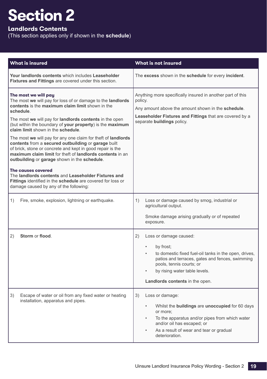### **Landlords Contents**

| <b>What is insured</b>                                                                                                                                                                                                                                                                                                                                                                                                                                                                                                                                                                                                                                                                                                                                                                                     | <b>What is not insured</b>                                                                                                                                                                                                                                              |
|------------------------------------------------------------------------------------------------------------------------------------------------------------------------------------------------------------------------------------------------------------------------------------------------------------------------------------------------------------------------------------------------------------------------------------------------------------------------------------------------------------------------------------------------------------------------------------------------------------------------------------------------------------------------------------------------------------------------------------------------------------------------------------------------------------|-------------------------------------------------------------------------------------------------------------------------------------------------------------------------------------------------------------------------------------------------------------------------|
| Your landlords contents which includes Leaseholder<br>Fixtures and Fittings are covered under this section.                                                                                                                                                                                                                                                                                                                                                                                                                                                                                                                                                                                                                                                                                                | The excess shown in the schedule for every incident.                                                                                                                                                                                                                    |
| The most we will pay<br>The most we will pay for loss of or damage to the landlords<br>contents is the maximum claim limit shown in the<br>schedule<br>The most we will pay for landlords contents in the open<br>(but within the boundary of your property) is the maximum<br>claim limit shown in the schedule.<br>The most we will pay for any one claim for theft of landlords<br>contents from a secured outbuilding or garage built<br>of brick, stone or concrete and kept in good repair is the<br>maximum claim limit for theft of landlords contents in an<br>outbuilding or garage shown in the schedule.<br>The causes covered<br>The landlords contents and Leaseholder Fixtures and<br>Fittings identified in the schedule are covered for loss or<br>damage caused by any of the following: | Anything more specifically insured in another part of this<br>policy.<br>Any amount above the amount shown in the schedule.<br>Leaseholder Fixtures and Fittings that are covered by a<br>separate buildings policy.                                                    |
| 1)<br>Fire, smoke, explosion, lightning or earthquake.                                                                                                                                                                                                                                                                                                                                                                                                                                                                                                                                                                                                                                                                                                                                                     | Loss or damage caused by smog, industrial or<br>1)<br>agricultural output.<br>Smoke damage arising gradually or of repeated<br>exposure.                                                                                                                                |
| 2)<br>Storm or flood.                                                                                                                                                                                                                                                                                                                                                                                                                                                                                                                                                                                                                                                                                                                                                                                      | 2)<br>Loss or damage caused:<br>by frost;<br>$\bullet$<br>to domestic fixed fuel-oil tanks in the open, drives,<br>٠<br>patios and terraces, gates and fences, swimming<br>pools, tennis courts; or<br>by rising water table levels.<br>Landlords contents in the open. |
| Escape of water or oil from any fixed water or heating<br>3)<br>installation, apparatus and pipes.                                                                                                                                                                                                                                                                                                                                                                                                                                                                                                                                                                                                                                                                                                         | 3)<br>Loss or damage:<br>Whilst the buildings are unoccupied for 60 days<br>or more:<br>To the apparatus and/or pipes from which water<br>$\bullet$<br>and/or oil has escaped; or<br>As a result of wear and tear or gradual<br>$\bullet$<br>deterioration.             |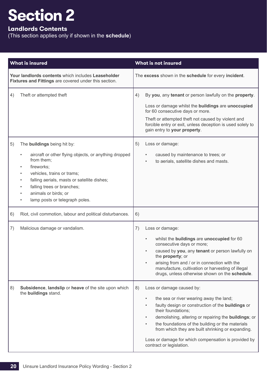### **Landlords Contents**

|    | <b>What is insured</b>                                                                                                                                                                                                                                                                       |                                                      | <b>What is not insured</b>                                                                                                                                                                                                                                                                                                                                                                                                     |
|----|----------------------------------------------------------------------------------------------------------------------------------------------------------------------------------------------------------------------------------------------------------------------------------------------|------------------------------------------------------|--------------------------------------------------------------------------------------------------------------------------------------------------------------------------------------------------------------------------------------------------------------------------------------------------------------------------------------------------------------------------------------------------------------------------------|
|    | Your landlords contents which includes Leaseholder<br>Fixtures and Fittings are covered under this section.                                                                                                                                                                                  | The excess shown in the schedule for every incident. |                                                                                                                                                                                                                                                                                                                                                                                                                                |
| 4) | Theft or attempted theft                                                                                                                                                                                                                                                                     | 4)                                                   | By you, any tenant or person lawfully on the property.<br>Loss or damage whilst the buildings are unoccupied<br>for 60 consecutive days or more.<br>Theft or attempted theft not caused by violent and<br>forcible entry or exit, unless deception is used solely to<br>gain entry to your property.                                                                                                                           |
| 5) | The <b>buildings</b> being hit by:<br>aircraft or other flying objects, or anything dropped<br>from them;<br>fireworks:<br>vehicles, trains or trams;<br>falling aerials, masts or satellite dishes;<br>falling trees or branches;<br>animals or birds; or<br>lamp posts or telegraph poles. | 5)                                                   | Loss or damage:<br>caused by maintenance to trees; or<br>to aerials, satellite dishes and masts.                                                                                                                                                                                                                                                                                                                               |
| 6) | Riot, civil commotion, labour and political disturbances.                                                                                                                                                                                                                                    | 6)                                                   |                                                                                                                                                                                                                                                                                                                                                                                                                                |
| 7) | Malicious damage or vandalism.                                                                                                                                                                                                                                                               | 7)                                                   | Loss or damage:<br>whilst the buildings are unoccupied for 60<br>consecutive days or more;<br>caused by you, any tenant or person lawfully on<br>the property; or<br>arising from and / or in connection with the<br>manufacture, cultivation or harvesting of illegal<br>drugs, unless otherwise shown on the schedule.                                                                                                       |
| 8) | Subsidence, landslip or heave of the site upon which<br>the buildings stand.                                                                                                                                                                                                                 | 8)                                                   | Loss or damage caused by:<br>the sea or river wearing away the land;<br>faulty design or construction of the buildings or<br>$\bullet$<br>their foundations;<br>demolishing, altering or repairing the buildings; or<br>the foundations of the building or the materials<br>$\bullet$<br>from which they are built shrinking or expanding.<br>Loss or damage for which compensation is provided by<br>contract or legislation. |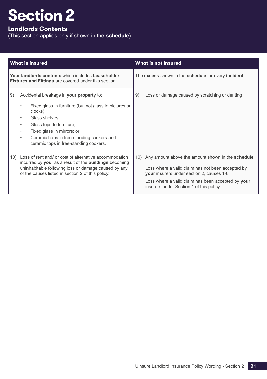### **Landlords Contents**

|                                                                                                             | <b>What is insured</b>                                                                                                                                                                                                                                                                                           | <b>What is not insured</b>                                                                                                                                                                                                                                  |  |
|-------------------------------------------------------------------------------------------------------------|------------------------------------------------------------------------------------------------------------------------------------------------------------------------------------------------------------------------------------------------------------------------------------------------------------------|-------------------------------------------------------------------------------------------------------------------------------------------------------------------------------------------------------------------------------------------------------------|--|
| Your landlords contents which includes Leaseholder<br>Fixtures and Fittings are covered under this section. |                                                                                                                                                                                                                                                                                                                  | The excess shown in the schedule for every incident.                                                                                                                                                                                                        |  |
| 9)                                                                                                          | Accidental breakage in your property to:<br>Fixed glass in furniture (but not glass in pictures or<br>clocks);<br>Glass shelves:<br>Glass tops to furniture;<br>$\bullet$<br>Fixed glass in mirrors; or<br>٠<br>Ceramic hobs in free-standing cookers and<br>$\bullet$<br>ceramic tops in free-standing cookers. | Loss or damage caused by scratching or denting<br>9)                                                                                                                                                                                                        |  |
| 10)                                                                                                         | Loss of rent and/ or cost of alternative accommodation<br>incurred by you, as a result of the buildings becoming<br>uninhabitable following loss or damage caused by any<br>of the causes listed in section 2 of this policy.                                                                                    | 10) Any amount above the amount shown in the schedule.<br>Loss where a valid claim has not been accepted by<br>your insurers under section 2, causes 1-8.<br>Loss where a valid claim has been accepted by your<br>insurers under Section 1 of this policy. |  |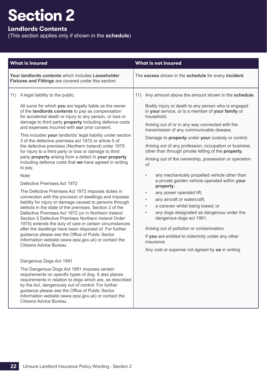### **Landlords Contents**

| <b>What is insured</b>                                                                                      |                                                                                                                                                                                                                                                                                                                                                                                                                                                                                             | <b>What is not insured</b>                           |           |                                                                                                                        |
|-------------------------------------------------------------------------------------------------------------|---------------------------------------------------------------------------------------------------------------------------------------------------------------------------------------------------------------------------------------------------------------------------------------------------------------------------------------------------------------------------------------------------------------------------------------------------------------------------------------------|------------------------------------------------------|-----------|------------------------------------------------------------------------------------------------------------------------|
| Your landlords contents which includes Leaseholder<br>Fixtures and Fittings are covered under this section. |                                                                                                                                                                                                                                                                                                                                                                                                                                                                                             | The excess shown in the schedule for every incident. |           |                                                                                                                        |
|                                                                                                             | 11) A legal liability to the public.                                                                                                                                                                                                                                                                                                                                                                                                                                                        | 11)                                                  |           | Any amount above the amount shown in the schedule.                                                                     |
|                                                                                                             | All sums for which you are legally liable as the owner<br>of the landlords contents to pay as compensation<br>for accidental death or injury to any person, or loss or                                                                                                                                                                                                                                                                                                                      |                                                      |           | Bodily injury or death to any person who is engaged<br>in your service, or is a member of your family or<br>household. |
|                                                                                                             | damage to third party property including defence costs<br>and expenses incurred with our prior consent.                                                                                                                                                                                                                                                                                                                                                                                     |                                                      |           | Arising out of or in any way connected with the<br>transmission of any communicable disease.                           |
|                                                                                                             | This includes your landlords' legal liability under section<br>3 of the defective premises act 1972 or article 5 of                                                                                                                                                                                                                                                                                                                                                                         |                                                      |           | Damage to property under your custody or control.                                                                      |
|                                                                                                             | the defective premises (Northern Ireland) order 1975<br>for injury to a third party or loss or damage to third                                                                                                                                                                                                                                                                                                                                                                              |                                                      |           | Arising out of any profession, occupation or business<br>other than through private letting of the property.           |
|                                                                                                             | party property arising from a defect in your property<br>including defence costs that we have agreed in writing<br>to pay.                                                                                                                                                                                                                                                                                                                                                                  |                                                      | of:       | Arising out of the ownership, possession or operation                                                                  |
|                                                                                                             | Note:                                                                                                                                                                                                                                                                                                                                                                                                                                                                                       |                                                      | $\bullet$ | any mechanically propelled vehicle other than                                                                          |
|                                                                                                             | Defective Premises Act 1972                                                                                                                                                                                                                                                                                                                                                                                                                                                                 |                                                      |           | a private garden vehicle operated within your<br>property;                                                             |
|                                                                                                             | The Defective Premises Act 1972 imposes duties in<br>connection with the provision of dwellings and imposes                                                                                                                                                                                                                                                                                                                                                                                 |                                                      | $\bullet$ | any power operated lift;                                                                                               |
|                                                                                                             | liability for injury or damage caused to persons through<br>defects in the state of the premises. Section 3 of the<br>Defective Premises Act 1972 (or in Northern Ireland<br>Section 5 Defective Premises Northern Ireland Order<br>1975) extends the duty of care in certain circumstances<br>after the dwellings have been disposed of. For further<br>quidance please see the Office of Public Sector<br>Information website (www.opsi.gov.uk) or contact the<br>Citizens Advice Bureau. |                                                      | $\bullet$ | any aircraft or watercraft;                                                                                            |
|                                                                                                             |                                                                                                                                                                                                                                                                                                                                                                                                                                                                                             |                                                      | $\bullet$ | a caravan whilst being towed; or                                                                                       |
|                                                                                                             |                                                                                                                                                                                                                                                                                                                                                                                                                                                                                             |                                                      | $\bullet$ | any dogs designated as dangerous under the<br>dangerous dogs act 1991.                                                 |
|                                                                                                             |                                                                                                                                                                                                                                                                                                                                                                                                                                                                                             |                                                      |           | Arising out of pollution or contamination.                                                                             |
|                                                                                                             |                                                                                                                                                                                                                                                                                                                                                                                                                                                                                             |                                                      |           | If you are entitled to indemnity under any other<br>insurance.                                                         |
|                                                                                                             |                                                                                                                                                                                                                                                                                                                                                                                                                                                                                             |                                                      |           | Any cost or expense not agreed by us in writing.                                                                       |
|                                                                                                             | Dangerous Dogs Act 1991                                                                                                                                                                                                                                                                                                                                                                                                                                                                     |                                                      |           |                                                                                                                        |
|                                                                                                             | The Dangerous Dogs Act 1991 imposes certain<br>requirements on specific types of dog. It also places<br>requirements in relation to dogs which are, as described<br>by the Act, dangerously out of control. For further<br>quidance please see the Office of Public Sector<br>Information website (www.opsi.gov.uk) or contact the<br>Citizens Advice Bureau.                                                                                                                               |                                                      |           |                                                                                                                        |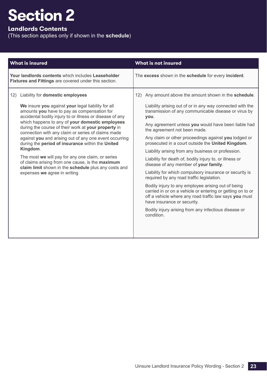**Landlords Contents**

| <b>What is insured</b>                                                                                                                                                                                                                                                                                                                                                                                                                                                                                                                                                                                                                                                                           | <b>What is not insured</b>                                                                                                                                                                                                                                                                                                                                                                                                                                                                                                                                                                                                                                                                                                                                                       |
|--------------------------------------------------------------------------------------------------------------------------------------------------------------------------------------------------------------------------------------------------------------------------------------------------------------------------------------------------------------------------------------------------------------------------------------------------------------------------------------------------------------------------------------------------------------------------------------------------------------------------------------------------------------------------------------------------|----------------------------------------------------------------------------------------------------------------------------------------------------------------------------------------------------------------------------------------------------------------------------------------------------------------------------------------------------------------------------------------------------------------------------------------------------------------------------------------------------------------------------------------------------------------------------------------------------------------------------------------------------------------------------------------------------------------------------------------------------------------------------------|
|                                                                                                                                                                                                                                                                                                                                                                                                                                                                                                                                                                                                                                                                                                  |                                                                                                                                                                                                                                                                                                                                                                                                                                                                                                                                                                                                                                                                                                                                                                                  |
| Your landlords contents which includes Leaseholder<br>Fixtures and Fittings are covered under this section.                                                                                                                                                                                                                                                                                                                                                                                                                                                                                                                                                                                      | The excess shown in the schedule for every incident.                                                                                                                                                                                                                                                                                                                                                                                                                                                                                                                                                                                                                                                                                                                             |
| 12) Liability for domestic employees<br>We insure you against your legal liability for all<br>amounts you have to pay as compensation for<br>accidental bodily injury to or illness or disease of any<br>which happens to any of your domestic employees<br>during the course of their work at your property in<br>connection with any claim or series of claims made<br>against you and arising out of any one event occurring<br>during the period of insurance within the United<br>Kingdom.<br>The most we will pay for any one claim, or series<br>of claims arising from one cause, is the maximum<br>claim limit shown in the schedule plus any costs and<br>expenses we agree in writing | Any amount above the amount shown in the schedule.<br>12)<br>Liability arising out of or in any way connected with the<br>transmission of any communicable disease or virus by<br>you.<br>Any agreement unless you would have been liable had<br>the agreement not been made.<br>Any claim or other proceedings against you lodged or<br>prosecuted in a court outside the United Kingdom.<br>Liability arising from any business or profession.<br>Liability for death of, bodily injury to, or illness or<br>disease of any member of your family.<br>Liability for which compulsory insurance or security is<br>required by any road traffic legislation.<br>Bodily injury to any employee arising out of being<br>carried in or on a vehicle or entering or getting on to or |
|                                                                                                                                                                                                                                                                                                                                                                                                                                                                                                                                                                                                                                                                                                  | off a vehicle where any road traffic law says you must<br>have insurance or security.<br>Bodily injury arising from any infectious disease or<br>condition                                                                                                                                                                                                                                                                                                                                                                                                                                                                                                                                                                                                                       |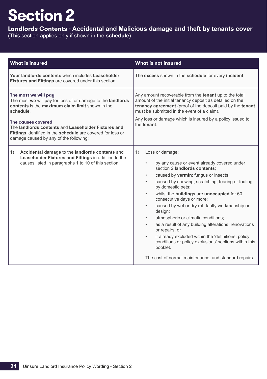**Landlords Contents - Accidental and Malicious damage and theft by tenants cover** (This section applies only if shown in the **schedule**)

| <b>What is insured</b>                                                                                                                                                                                                                                                                                                                     | <b>What is not insured</b>                                                                                                                                                                                                                                                                                                                                                                                                                                                                                                                                                                                                                                                                                                            |  |
|--------------------------------------------------------------------------------------------------------------------------------------------------------------------------------------------------------------------------------------------------------------------------------------------------------------------------------------------|---------------------------------------------------------------------------------------------------------------------------------------------------------------------------------------------------------------------------------------------------------------------------------------------------------------------------------------------------------------------------------------------------------------------------------------------------------------------------------------------------------------------------------------------------------------------------------------------------------------------------------------------------------------------------------------------------------------------------------------|--|
| Your landlords contents which includes Leaseholder<br>Fixtures and Fittings are covered under this section.                                                                                                                                                                                                                                | The excess shown in the schedule for every incident.                                                                                                                                                                                                                                                                                                                                                                                                                                                                                                                                                                                                                                                                                  |  |
| The most we will pay<br>The most we will pay for loss of or damage to the landlords<br>contents is the maximum claim limit shown in the<br>schedule.<br>The causes covered<br>The landlords contents and Leaseholder Fixtures and<br>Fittings identified in the schedule are covered for loss or<br>damage caused by any of the following: | Any amount recoverable from the tenant up to the total<br>amount of the initial tenancy deposit as detailed on the<br>tenancy agreement (proof of the deposit paid by the tenant<br>must be submitted in the event of a claim).<br>Any loss or damage which is insured by a policy issued to<br>the tenant.                                                                                                                                                                                                                                                                                                                                                                                                                           |  |
| Accidental damage to the landlords contents and<br>1)<br>Leaseholder Fixtures and Fittings in addition to the<br>causes listed in paragraphs 1 to 10 of this section.                                                                                                                                                                      | 1)<br>Loss or damage:<br>by any cause or event already covered under<br>$\bullet$<br>section 2 landlords contents:<br>caused by vermin; fungus or insects;<br>۰<br>caused by chewing, scratching, tearing or fouling<br>۰<br>by domestic pets;<br>whilst the buildings are unoccupied for 60<br>٠<br>consecutive days or more;<br>caused by wet or dry rot; faulty workmanship or<br>$\bullet$<br>design;<br>atmospheric or climatic conditions;<br>$\bullet$<br>as a result of any building alterations, renovations<br>٠<br>or repairs; or<br>if already excluded within the 'definitions, policy<br>۰<br>conditions or policy exclusions' sections within this<br>booklet.<br>The cost of normal maintenance, and standard repairs |  |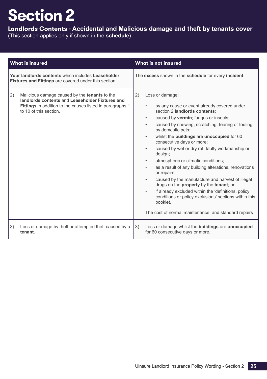**Landlords Contents - Accidental and Malicious damage and theft by tenants cover** (This section applies only if shown in the **schedule**)

| <b>What is insured</b>                                                                                      |                                                                                                                                                                                         | What is not insured                                  |                                                                                                                                                                                                                                                                                                                                                                                                                                                                                                                                                                                                                                                                                                                                                                                                                                                             |
|-------------------------------------------------------------------------------------------------------------|-----------------------------------------------------------------------------------------------------------------------------------------------------------------------------------------|------------------------------------------------------|-------------------------------------------------------------------------------------------------------------------------------------------------------------------------------------------------------------------------------------------------------------------------------------------------------------------------------------------------------------------------------------------------------------------------------------------------------------------------------------------------------------------------------------------------------------------------------------------------------------------------------------------------------------------------------------------------------------------------------------------------------------------------------------------------------------------------------------------------------------|
| Your landlords contents which includes Leaseholder<br>Fixtures and Fittings are covered under this section. |                                                                                                                                                                                         | The excess shown in the schedule for every incident. |                                                                                                                                                                                                                                                                                                                                                                                                                                                                                                                                                                                                                                                                                                                                                                                                                                                             |
| 2)                                                                                                          | Malicious damage caused by the tenants to the<br>landlords contents and Leaseholder Fixtures and<br>Fittings in addition to the causes listed in paragraphs 1<br>to 10 of this section. | 2)                                                   | Loss or damage:<br>by any cause or event already covered under<br>section 2 landlords contents:<br>caused by vermin; fungus or insects;<br>$\bullet$<br>caused by chewing, scratching, tearing or fouling<br>$\bullet$<br>by domestic pets;<br>whilst the buildings are unoccupied for 60<br>$\bullet$<br>consecutive days or more;<br>caused by wet or dry rot; faulty workmanship or<br>$\bullet$<br>design;<br>atmospheric or climatic conditions;<br>$\bullet$<br>as a result of any building alterations, renovations<br>٠<br>or repairs;<br>caused by the manufacture and harvest of illegal<br>$\bullet$<br>drugs on the property by the tenant; or<br>if already excluded within the 'definitions, policy<br>$\bullet$<br>conditions or policy exclusions' sections within this<br>booklet.<br>The cost of normal maintenance, and standard repairs |
| 3)                                                                                                          | Loss or damage by theft or attempted theft caused by a<br>tenant.                                                                                                                       | 3)                                                   | Loss or damage whilst the buildings are unoccupied<br>for 60 consecutive days or more.                                                                                                                                                                                                                                                                                                                                                                                                                                                                                                                                                                                                                                                                                                                                                                      |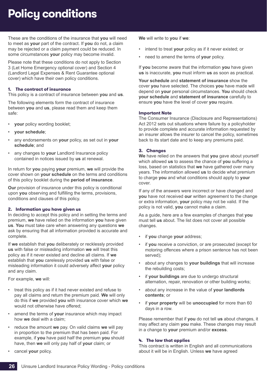## **Policy conditions**

These are the conditions of the insurance that **you** will need to meet as **your** part of the contract. If **you** do not, a claim may be rejected or a claim payment could be reduced. In some circumstances **your** policy may become invalid.

Please note that these conditions do not apply to Section 3 (Let Home Emergency optional cover) and Section 4 (Landlord Legal Expenses & Rent Guarantee optional cover) which have their own policy conditions.

#### **1. The contract of insurance**

This policy is a contract of insurance between **you** and **us**.

The following elements form the contract of insurance between **you** and **us**, please read them and keep them safe:

- **your** policy wording booklet;
- **your schedule**;
- any endorsements on **your** policy, as set out in **your schedule**; and
- any changes to **your** Landlord Insurance policy contained in notices issued by **us** at renewal.

In return for **you** paying **your** premium, **we** will provide the cover shown on **your schedule** on the terms and conditions of this policy booklet during the **period of insurance**.

**Our** provision of insurance under this policy is conditional upon **you** observing and fulfilling the terms, provisions, conditions and clauses of this policy.

### **2. Information you have given us**

In deciding to accept this policy and in setting the terms and premium, **we** have relied on the information **you** have given **us**. **You** must take care when answering any questions **we** ask by ensuring that all information provided is accurate and complete.

If **we** establish that **you** deliberately or recklessly provided **us** with false or misleading information **we** will treat this policy as if it never existed and decline all claims. If **we** establish that **you** carelessly provided **us** with false or misleading information it could adversely affect **your** policy and any claim.

For example, **we** will:

- treat this policy as if it had never existed and refuse to pay all claims and return the premium paid. **We** will only do this if **we** provided **you** with insurance cover which **we** would not otherwise have offered;
- amend the terms of **your** insurance which may impact how **we** deal with a claim;
- reduce the amount **we** pay. On valid claims **we** will pay in proportion to the premium that has been paid. For example, if **you** have paid half the premium **you** should have, then **we** will only pay half of **your** claim; or

• cancel **your** policy.

**We** will write to **you** if **we**:

- intend to treat **your** policy as if it never existed; or
- need to amend the terms of **your** policy.

If **you** become aware that the information **you** have given **us** is inaccurate, **you** must inform **us** as soon as practical.

**Your schedule** and **statement of insurance** show the cover **you** have selected. The choices **you** have made will depend on **your** personal circumstances. **You** should check **your schedule** and **statement of insurance** carefully to ensure **you** have the level of cover **you** require.

### **Important Note**

The Consumer Insurance (Disclosure and Representations) Act 2012 sets out situations where failure by a policyholder to provide complete and accurate information requested by an insurer allows the insurer to cancel the policy, sometimes back to its start date and to keep any premiums paid.

### **3. Changes**

**We** have relied on the answers that **you** gave about yourself which allowed **us** to assess the chance of **you** suffering a loss, based on statistics that **we** have gathered over many years. The information allowed **us** to decide what premium to charge **you** and what conditions should apply to **your** cover.

If any of the answers were incorrect or have changed and **you** have not received **our** written agreement to the change or extra information, **your** policy may not be valid. If the policy is not valid, **you** cannot make a claim.

As a guide, here are a few examples of changes that **you** must tell **us** about. The list does not cover all possible changes.

- if **you** change **your** address;
- if **you** receive a conviction, or are prosecuted (except for motoring offences where a prison sentence has not been served);
- about any changes to **your buildings** that will increase the rebuilding costs;
- if **your buildings** are due to undergo structural alternation, repair, renovation or other building works;
- about any increase in the value of **your landlords contents**; or
- if **your property** will be **unoccupied** for more than 60 days in a row.

Please remember that if **you** do not tell **us** about changes, it may affect any claim **you** make. These changes may result in a change to **your** premium and/or **excess**.

### **4. The law that applies**

This contract is written in English and all communications about it will be in English. Unless **we** have agreed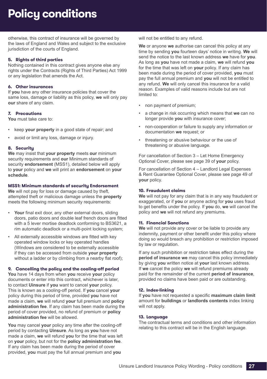## **Policy conditions**

otherwise, this contract of insurance will be governed by the laws of England and Wales and subject to the exclusive jurisdiction of the courts of England.

### **5. Rights of third parties**

Nothing contained in this contract gives anyone else any rights under the Contracts (Rights of Third Parties) Act 1999 or any legislation that amends the Act.

### **6. Other insurances**

If **you** have any other insurance policies that cover the same loss, damage or liability as this policy, **we** will only pay **our** share of any claim.

### **7. Precautions**

**You** must take care to:

- keep **your property** in a good state of repair; and
- avoid or limit any loss, damage or injury.

#### **8. Security**

**We** may insist that **your property** meets **our** minimum security requirements and **our** Minimum standards of security **endorsement** (MSS1), detailed below will apply to **your** policy and **we** will print an **endorsement** on **your schedule**.

### **MSS1: Minimum standards of security Endorsement**

**We** will not pay for loss or damage caused by theft, attempted theft or malicious damage unless the **property** meets the following minimum security requirements:

- **Your** final exit door, any other external doors, sliding doors, patio doors and double leaf french doors are fitted with a 5 lever mortise deadlock conforming to BS3621, a rim automatic deadlock or a multi-point locking system;
- All externally accessible windows are fitted with key operated window locks or key operated handles (Windows are considered to be externally accessible if they can be accessed from outside **your property** without a ladder or by climbing from a nearby flat roof);

### **9. Cancelling the policy and the cooling-off period**

**You** have 14 days from when **you** receive **your** policy documents or enter into this contract, whichever is later, to contact **Uinsure** if **you** want to cancel **your** policy. This is known as a cooling-off period. If **you** cancel **your** policy during this period of time, provided **you** have not made a claim, **we** will refund **your** full premium and **policy administration fee**. If any claim has been made during the period of cover provided, no refund of premium or **policy administration fee** will be allowed.

**You** may cancel **your** policy any time after the cooling-off period by contacting **Uinsure**. As long as **you** have not made a claim, **we** will refund **you** for the time that was left on **your** policy, but not for the **policy administration fee**. If any claim has been made during the period of cover provided, **you** must pay the full annual premium and **you**

will not be entitled to any refund.

**We** or anyone **we** authorise can cancel this policy at any time by sending **you** fourteen days' notice in writing. **We** will send the notice to the last known address **we** have for **you**. As long as **you** have not made a claim, **we** will refund **you** for the time that was left on **your** policy. If any claim has been made during the period of cover provided, **you** must pay the full annual premium and **you** will not be entitled to any refund. **We** will only cancel this insurance for a valid reason. Examples of valid reasons include but are not limited to:

- non payment of premium;
- a change in risk occurring which means that **we** can no longer provide **you** with insurance cover;
- non-cooperation or failure to supply any information or documentation **we** request; or
- threatening or abusive behaviour or the use of threatening or abusive language.

For cancellation of Section 3 – Let Home Emergency Optional Cover, please see page 39 of **your** policy.

For cancellation of Section 4 – Landlord Legal Expenses & Rent Guarantee Optional Cover, please see page 49 of **your** policy.

### **10. Fraudulent claims**

**We** will not pay for any claim that is in any way fraudulent or exaggerated, or if **you** or anyone acting for **you** uses fraud to get benefits under the policy. If **you** do, **we** will cancel the policy and **we** will not refund any premiums.

### **11. Financial Sanctions**

**We** will not provide any cover or be liable to provide any indemnity, payment or other benefit under this policy where doing so would breach any prohibition or restriction imposed by law or regulation.

If any such prohibition or restriction takes effect during the **period of insurance we** may cancel this policy immediately by giving **you** written notice at **your** last known address. If **we** cancel the policy **we** will refund premiums already paid for the remainder of the current **period of insurance**, provided no claims have been paid or are outstanding.

#### **12. Index-linking**

If **you** have not requested a specific **maximum claim limit** amount for **buildings** or **landlords contents** index linking will not apply.

#### **13. Language**

The contractual terms and conditions and other information relating to this contract will be in the English language.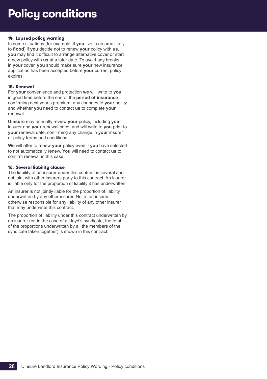### **Policy conditions**

### **14. Lapsed policy warning**

In some situations (for example, if **you** live in an area likely to **flood**) if **you** decide not to renew **your** policy with **us**, **you** may find it difficult to arrange alternative cover or start a new policy with **us** at a later date. To avoid any breaks in **your** cover, **you** should make sure **your** new insurance application has been accepted before **your** current policy expires.

### **15. Renewal**

For **your** convenience and protection **we** will write to **you** in good time before the end of the **period of insurance** confirming next year's premium, any changes to **your** policy and whether **you** need to contact **us** to complete **your** renewal.

**Uinsure** may annually review **your** policy, including **your** insurer and **your** renewal price, and will write to **you** prior to **your** renewal date, confirming any change in **your** insurer or policy terms and conditions.

**We** will offer to renew **your** policy even if **you** have selected to not automatically renew. **You** will need to contact **us** to confirm renewal in this case.

### **16. Several liability clause**

The liability of an insurer under this contract is several and not joint with other insurers party to this contract. An insurer is liable only for the proportion of liability it has underwritten.

An insurer is not jointly liable for the proportion of liability underwritten by any other insurer. Nor is an insurer otherwise responsible for any liability of any other insurer that may underwrite this contract.

The proportion of liability under this contract underwritten by an insurer (or, in the case of a Lloyd's syndicate, the total of the proportions underwritten by all the members of the syndicate taken together) is shown in this contract.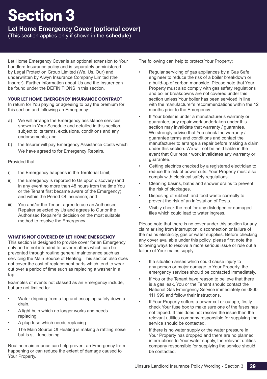### **Let Home Emergency Cover (optional cover)**

(This section applies only if shown in the **schedule**)

Let Home Emergency Cover is an optional extension to Your Landlord Insurance policy and is separately administered by Legal Protection Group Limited (We, Us, Our) and underwritten by Alwyn Insurance Company Limited (the Insurer). Further information about Us and the Insurer can be found under the DEFINITIONS in this section.

### **YOUR LET HOME EMERGENCY INSURANCE CONTRACT**

In return for You paying or agreeing to pay the premium for this section and following an Emergency:

- a) We will arrange the Emergency assistance services shown in Your Schedule and detailed in this section, subject to its terms, exclusions, conditions and any endorsements; and
- b) the Insurer will pay Emergency Assistance Costs which We have agreed to for Emergency Repairs.

Provided that:

- i) the Emergency happens in the Territorial Limit:
- ii) the Emergency is reported to Us upon discovery (and in any event no more than 48 hours from the time You or the Tenant first became aware of the Emergency) and within the Period Of Insurance; and
- iii) You and/or the Tenant agree to use an Authorised Repairer selected by Us and agrees to Our or the Authorised Repairer's decision on the most suitable method to resolve the Emergency.

### **WHAT IS NOT COVERED BY LET HOME EMERGENCY**

This section is designed to provide cover for an Emergency only and is not intended to cover matters which can be prevented through routine general maintenance such as servicing the Main Source of Heating. This section also does not cover the cost of replacement parts which tend to wear out over a period of time such as replacing a washer in a tap.

Examples of events not classed as an Emergency include, but are not limited to:

- Water dripping from a tap and escaping safely down a drain.
- A light bulb which no longer works and needs replacing.
- A plug fuse which needs replacing.
- The Main Source Of Heating is making a rattling noise but is still functioning.

Routine maintenance can help prevent an Emergency from happening or can reduce the extent of damage caused to Your Property.

The following can help to protect Your Property:

- Regular servicing of gas appliances by a Gas Safe engineer to reduce the risk of a boiler breakdown or a build-up of carbon monoxide. Please note that Your Property must also comply with gas safety regulations and boiler breakdowns are not covered under this section unless Your boiler has been serviced in line with the manufacturer's recommendations within the 12 months prior to the Emergency.
- If Your boiler is under a manufacturer's warranty or guarantee, any repair work undertaken under this section may invalidate that warranty / quarantee. We strongly advise that You check the warranty / guarantee terms and conditions and contact the manufacturer to arrange a repair before making a claim under this section. We will not be held liable in the event that Our repair work invalidates any warranty or guarantee.
- Getting electrics checked by a registered electrician to reduce the risk of power cuts. Your Property must also comply with electrical safety regulations.
- Cleaning basins, baths and shower drains to prevent the risk of blockages.
- Disposing of rubbish and food waste correctly to prevent the risk of an infestation of Pests.
- Visibly check the roof for any dislodged or damaged tiles which could lead to water ingress.

Please note that there is no cover under this section for any claim arising from interruption, disconnection or failure of the mains electricity, gas or water supplies. Before checking any cover available under this policy, please first note the following ways to resolve a more serious issue or rule out a failure of Your mains supply:

- If a situation arises which could cause injury to any person or major damage to Your Property, the emergency services should be contacted immediately.
- If You or the Tenant have reason to believe that there is a gas leak, You or the Tenant should contact the National Gas Emergency Service immediately on 0800 111 999 and follow their instructions.
- If Your Property suffers a power cut or outage, firstly check Your fuse box to make sure one of the fuses has not tripped. If this does not resolve the issue then the relevant utilities company responsible for supplying the service should be contacted.
- If there is no water supply or the water pressure in Your Property has dropped and there are no planned interruptions to Your water supply, the relevant utilities company responsible for supplying the service should be contacted.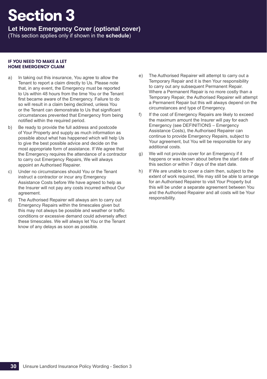**Let Home Emergency Cover (optional cover)** (This section applies only if shown in the **schedule**)

### **IF YOU NEED TO MAKE A LET HOME EMERGENCY CLAIM**

- a) In taking out this insurance, You agree to allow the Tenant to report a claim directly to Us. Please note that, in any event, the Emergency must be reported to Us within 48 hours from the time You or the Tenant first became aware of the Emergency. Failure to do so will result in a claim being declined, unless You or the Tenant can demonstrate to Us that significant circumstances prevented that Emergency from being notified within the required period.
- b) Be ready to provide the full address and postcode of Your Property and supply as much information as possible about what has happened which will help Us to give the best possible advice and decide on the most appropriate form of assistance. If We agree that the Emergency requires the attendance of a contractor to carry out Emergency Repairs, We will always appoint an Authorised Repairer.
- c) Under no circumstances should You or the Tenant instruct a contractor or incur any Emergency Assistance Costs before We have agreed to help as the Insurer will not pay any costs incurred without Our agreement.
- d) The Authorised Repairer will always aim to carry out Emergency Repairs within the timescales given but this may not always be possible and weather or traffic conditions or excessive demand could adversely affect these timescales. We will always let You or the Tenant know of any delays as soon as possible.
- e) The Authorised Repairer will attempt to carry out a Temporary Repair and it is then Your responsibility to carry out any subsequent Permanent Repair. Where a Permanent Repair is no more costly than a Temporary Repair, the Authorised Repairer will attempt a Permanent Repair but this will always depend on the circumstances and type of Emergency.
- f) If the cost of Emergency Repairs are likely to exceed the maximum amount the Insurer will pay for each Emergency (see DEFINITIONS – Emergency Assistance Costs), the Authorised Repairer can continue to provide Emergency Repairs, subject to Your agreement, but You will be responsible for any additional costs.
- g) We will not provide cover for an Emergency if it happens or was known about before the start date of this section or within 7 days of the start date.
- h) If We are unable to cover a claim then, subject to the extent of work required, We may still be able to arrange for an Authorised Repairer to visit Your Property but this will be under a separate agreement between You and the Authorised Repairer and all costs will be Your responsibility.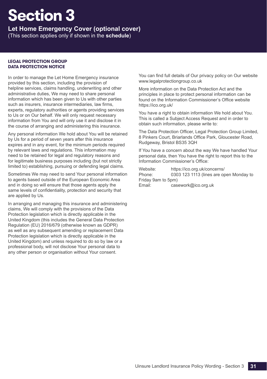**Let Home Emergency Cover (optional cover)** (This section applies only if shown in the **schedule**)

### **LEGAL PROTECTION GROUP DATA PROTECTION NOTICE**

In order to manage the Let Home Emergency insurance provided by this section, including the provision of helpline services, claims handling, underwriting and other administrative duties, We may need to share personal information which has been given to Us with other parties such as insurers, insurance intermediaries, law firms, experts, regulatory authorities or agents providing services to Us or on Our behalf. We will only request necessary information from You and will only use it and disclose it in the course of arranging and administering this insurance.

Any personal information We hold about You will be retained by Us for a period of seven years after this insurance expires and in any event, for the minimum periods required by relevant laws and regulations. This information may need to be retained for legal and regulatory reasons and for legitimate business purposes including (but not strictly limited to) establishing, pursuing or defending legal claims.

Sometimes We may need to send Your personal information to agents based outside of the European Economic Area and in doing so will ensure that those agents apply the same levels of confidentiality, protection and security that are applied by Us.

In arranging and managing this insurance and administering claims, We will comply with the provisions of the Data Protection legislation which is directly applicable in the United Kingdom (this includes the General Data Protection Regulation (EU) 2016/679 (otherwise known as GDPR) as well as any subsequent amending or replacement Data Protection legislation which is directly applicable in the United Kingdom) and unless required to do so by law or a professional body, will not disclose Your personal data to any other person or organisation without Your consent.

You can find full details of Our privacy policy on Our website www.legalprotectiongroup.co.uk

More information on the Data Protection Act and the principles in place to protect personal information can be found on the Information Commissioner's Office website https://ico.org.uk/

You have a right to obtain information We hold about You. This is called a Subject Access Request and in order to obtain such information, please write to:

The Data Protection Officer, Legal Protection Group Limited, 8 Pinkers Court, Briarlands Office Park, Gloucester Road, Rudgeway, Bristol BS35 3QH

If You have a concern about the way We have handled Your personal data, then You have the right to report this to the Information Commissioner's Office:

Website: https://ico.org.uk/concerns/<br>Phone: 0303 123 1113 (lines are or 0303 123 1113 (lines are open Monday to Friday 9am to 5pm) Email: casework@ico.org.uk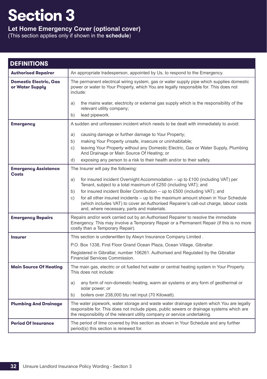### **Let Home Emergency Cover (optional cover)**

| <b>DEFINITIONS</b>                                            |                                                                                                                                                                                                                                                                                                                                                                                                                                                                                                                      |
|---------------------------------------------------------------|----------------------------------------------------------------------------------------------------------------------------------------------------------------------------------------------------------------------------------------------------------------------------------------------------------------------------------------------------------------------------------------------------------------------------------------------------------------------------------------------------------------------|
| <b>Authorised Repairer</b>                                    | An appropriate tradesperson, appointed by Us, to respond to the Emergency.                                                                                                                                                                                                                                                                                                                                                                                                                                           |
| <b>Domestic Electric, Gas</b><br>or Water Supply              | The permanent electrical wiring system, gas or water supply pipe which supplies domestic<br>power or water to Your Property, which You are legally responsible for. This does not<br>include:<br>the mains water, electricity or external gas supply which is the responsibility of the<br>a)<br>relevant utility company;<br>lead pipework.<br>b)                                                                                                                                                                   |
| <b>Emergency</b>                                              | A sudden and unforeseen incident which needs to be dealt with immediately to avoid:                                                                                                                                                                                                                                                                                                                                                                                                                                  |
|                                                               | causing damage or further damage to Your Property;<br>a)<br>making Your Property unsafe, insecure or uninhabitable;<br>b)<br>leaving Your Property without any Domestic Electric, Gas or Water Supply, Plumbing<br>C)<br>And Drainage or Main Source Of Heating; or<br>exposing any person to a risk to their health and/or to their safety.<br>d)                                                                                                                                                                   |
| <b>Emergency Assistance</b><br><b>Costs</b>                   | The Insurer will pay the following:<br>for insured incident Overnight Accommodation $-$ up to £100 (including VAT) per<br>a)<br>Tenant, subject to a total maximum of £250 (including VAT); and<br>for insured incident Boiler Contribution – up to £500 (including VAT); and<br>b)<br>for all other insured incidents – up to the maximum amount shown in Your Schedule<br>C)<br>(which includes VAT) to cover an Authorised Repairer's call-out charge, labour costs<br>and, where necessary, parts and materials. |
| <b>Emergency Repairs</b>                                      | Repairs and/or work carried out by an Authorised Repairer to resolve the immediate<br>Emergency. This may involve a Temporary Repair or a Permanent Repair (if this is no more<br>costly than a Temporary Repair).                                                                                                                                                                                                                                                                                                   |
| <b>Insurer</b>                                                | This section is underwritten by Alwyn Insurance Company Limited.<br>P.O. Box 1338, First Floor Grand Ocean Plaza, Ocean Village, Gibraltar.<br>Registered in Gibraltar, number 106261. Authorised and Regulated by the Gibraltar<br>Financial Services Commission.                                                                                                                                                                                                                                                   |
| <b>Main Source Of Heating</b><br><b>Plumbing And Drainage</b> | The main gas, electric or oil fuelled hot water or central heating system in Your Property.<br>This does not include:<br>any form of non-domestic heating, warm air systems or any form of geothermal or<br>a)<br>solar power; or<br>boilers over 238,000 btu net input (70 Kilowatt).<br>b)<br>The water pipework, water storage and waste water drainage system which You are legally<br>responsible for. This does not include pipes, public sewers or drainage systems which are                                 |
| <b>Period Of Insurance</b>                                    | the responsibility of the relevant utility company or service undertaking.<br>The period of time covered by this section as shown in Your Schedule and any further                                                                                                                                                                                                                                                                                                                                                   |
|                                                               | period(s) this section is renewed for.                                                                                                                                                                                                                                                                                                                                                                                                                                                                               |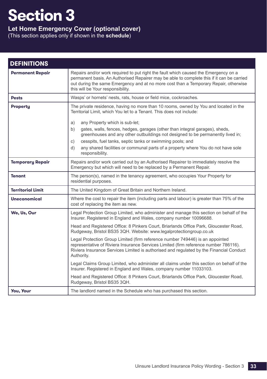### **Let Home Emergency Cover (optional cover)**

| <b>DEFINITIONS</b>       |                                                                                                                                                                                                                                                                                                                                                      |
|--------------------------|------------------------------------------------------------------------------------------------------------------------------------------------------------------------------------------------------------------------------------------------------------------------------------------------------------------------------------------------------|
| <b>Permanent Repair</b>  | Repairs and/or work required to put right the fault which caused the Emergency on a<br>permanent basis. An Authorised Repairer may be able to complete this if it can be carried<br>out during the same Emergency and at no more cost than a Temporary Repair, otherwise<br>this will be Your responsibility.                                        |
| <b>Pests</b>             | Wasps' or hornets' nests, rats, house or field mice, cockroaches.                                                                                                                                                                                                                                                                                    |
| Property                 | The private residence, having no more than 10 rooms, owned by You and located in the<br>Territorial Limit, which You let to a Tenant. This does not include:<br>any Property which is sub-let;<br>a)                                                                                                                                                 |
|                          | gates, walls, fences, hedges, garages (other than integral garages), sheds,<br>b)<br>greenhouses and any other outbuildings not designed to be permanently lived in;<br>cesspits, fuel tanks, septic tanks or swimming pools; and<br>C)<br>any shared facilities or communal parts of a property where You do not have sole<br>d)<br>responsibility. |
| <b>Temporary Repair</b>  | Repairs and/or work carried out by an Authorised Repairer to immediately resolve the<br>Emergency but which will need to be replaced by a Permanent Repair.                                                                                                                                                                                          |
| Tenant                   | The person(s), named in the tenancy agreement, who occupies Your Property for<br>residential purposes.                                                                                                                                                                                                                                               |
| <b>Territorial Limit</b> | The United Kingdom of Great Britain and Northern Ireland.                                                                                                                                                                                                                                                                                            |
| Uneconomical             | Where the cost to repair the item (including parts and labour) is greater than 75% of the<br>cost of replacing the item as new.                                                                                                                                                                                                                      |
| We, Us, Our              | Legal Protection Group Limited, who administer and manage this section on behalf of the<br>Insurer. Registered in England and Wales, company number 10096688.                                                                                                                                                                                        |
|                          | Head and Registered Office: 8 Pinkers Court, Briarlands Office Park, Gloucester Road,<br>Rudgeway, Bristol BS35 3QH. Website: www.legalprotectiongroup.co.uk                                                                                                                                                                                         |
|                          | Legal Protection Group Limited (firm reference number 749446) is an appointed<br>representative of Riviera Insurance Services Limited (firm reference number 786116).<br>Riviera Insurance Services Limited is authorised and regulated by the Financial Conduct<br>Authority.                                                                       |
|                          | Legal Claims Group Limited, who administer all claims under this section on behalf of the<br>Insurer. Registered in England and Wales, company number 11033103.                                                                                                                                                                                      |
|                          | Head and Registered Office: 8 Pinkers Court, Briarlands Office Park, Gloucester Road,<br>Rudgeway, Bristol BS35 3QH.                                                                                                                                                                                                                                 |
| You, Your                | The landlord named in the Schedule who has purchased this section.                                                                                                                                                                                                                                                                                   |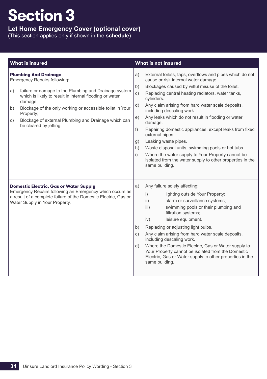### **Let Home Emergency Cover (optional cover)**

| <b>What is insured</b>                                                                                                                                                                                                                                                                                                                                                           | <b>What is not insured</b>                                                                                                                                                                                                                                                                                                                                                                                                                                                                                                                                                                                                                                                                                                     |  |
|----------------------------------------------------------------------------------------------------------------------------------------------------------------------------------------------------------------------------------------------------------------------------------------------------------------------------------------------------------------------------------|--------------------------------------------------------------------------------------------------------------------------------------------------------------------------------------------------------------------------------------------------------------------------------------------------------------------------------------------------------------------------------------------------------------------------------------------------------------------------------------------------------------------------------------------------------------------------------------------------------------------------------------------------------------------------------------------------------------------------------|--|
| <b>Plumbing And Drainage</b><br><b>Emergency Repairs following:</b><br>failure or damage to the Plumbing and Drainage system<br>a)<br>which is likely to result in internal flooding or water<br>damage;<br>Blockage of the only working or accessible toilet in Your<br>b)<br>Property;<br>Blockage of external Plumbing and Drainage which can<br>C)<br>be cleared by jetting. | External toilets, taps, overflows and pipes which do not<br>a)<br>cause or risk internal water damage.<br>Blockages caused by wilful misuse of the toilet.<br>b)<br>Replacing central heating radiators, water tanks,<br>C)<br>cylinders.<br>d)<br>Any claim arising from hard water scale deposits,<br>including descaling work.<br>Any leaks which do not result in flooding or water<br>e)<br>damage.<br>f)<br>Repairing domestic appliances, except leaks from fixed<br>external pipes.<br>Leaking waste pipes.<br>g)<br>Waste disposal units, swimming pools or hot tubs.<br>h)<br>Where the water supply to Your Property cannot be<br>i)<br>isolated from the water supply to other properties in the<br>same building. |  |
| <b>Domestic Electric, Gas or Water Supply</b><br>Emergency Repairs following an Emergency which occurs as<br>a result of a complete failure of the Domestic Electric, Gas or<br>Water Supply in Your Property.                                                                                                                                                                   | Any failure solely affecting:<br>a)<br>lighting outside Your Property;<br>i)<br>$\mathsf{ii}$ )<br>alarm or surveillance systems;<br>swimming pools or their plumbing and<br>iii)<br>filtration systems;<br>leisure equipment.<br>iv)<br>Replacing or adjusting light bulbs.<br>b)<br>Any claim arising from hard water scale deposits,<br>C)<br>including descaling work.<br>Where the Domestic Electric, Gas or Water supply to<br>d)<br>Your Property cannot be isolated from the Domestic<br>Electric, Gas or Water supply to other properties in the<br>same building.                                                                                                                                                    |  |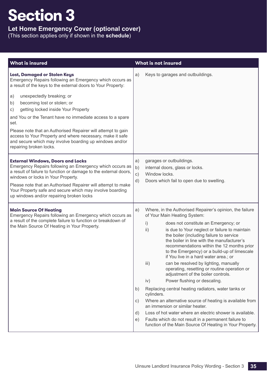### **Let Home Emergency Cover (optional cover)**

| <b>What is insured</b>                                                                                                                                                                                                                                                                                                                                                                                    | <b>What is not insured</b>                                                                                                                                                                                                                                                                                                                                                                                                                                                                                                                                                                                                                                                                                                                                                                                                                                                                                                                                                                                  |
|-----------------------------------------------------------------------------------------------------------------------------------------------------------------------------------------------------------------------------------------------------------------------------------------------------------------------------------------------------------------------------------------------------------|-------------------------------------------------------------------------------------------------------------------------------------------------------------------------------------------------------------------------------------------------------------------------------------------------------------------------------------------------------------------------------------------------------------------------------------------------------------------------------------------------------------------------------------------------------------------------------------------------------------------------------------------------------------------------------------------------------------------------------------------------------------------------------------------------------------------------------------------------------------------------------------------------------------------------------------------------------------------------------------------------------------|
| Lost, Damaged or Stolen Keys<br>Emergency Repairs following an Emergency which occurs as<br>a result of the keys to the external doors to Your Property:                                                                                                                                                                                                                                                  | a)<br>Keys to garages and outbuildings.                                                                                                                                                                                                                                                                                                                                                                                                                                                                                                                                                                                                                                                                                                                                                                                                                                                                                                                                                                     |
| unexpectedly breaking; or<br>a)<br>becoming lost or stolen; or<br>b)<br>getting locked inside Your Property<br>C)<br>and You or the Tenant have no immediate access to a spare<br>set.<br>Please note that an Authorised Repairer will attempt to gain<br>access to Your Property and where necessary, make it safe<br>and secure which may involve boarding up windows and/or<br>repairing broken locks. |                                                                                                                                                                                                                                                                                                                                                                                                                                                                                                                                                                                                                                                                                                                                                                                                                                                                                                                                                                                                             |
| <b>External Windows, Doors and Locks</b><br>Emergency Repairs following an Emergency which occurs as<br>a result of failure to function or damage to the external doors,<br>windows or locks in Your Property.<br>Please note that an Authorised Repairer will attempt to make<br>Your Property safe and secure which may involve boarding<br>up windows and/or repairing broken locks                    | a)<br>garages or outbuildings.<br>internal doors, glass or locks.<br>b)<br>c)<br>Window locks.<br>d)<br>Doors which fail to open due to swelling.                                                                                                                                                                                                                                                                                                                                                                                                                                                                                                                                                                                                                                                                                                                                                                                                                                                           |
| <b>Main Source Of Heating</b><br>Emergency Repairs following an Emergency which occurs as<br>a result of the complete failure to function or breakdown of<br>the Main Source Of Heating in Your Property.                                                                                                                                                                                                 | Where, in the Authorised Repairer's opinion, the failure<br>a)<br>of Your Main Heating System:<br>does not constitute an Emergency; or<br>i)<br>is due to Your neglect or failure to maintain<br>$\mathsf{ii}$ )<br>the boiler (including failure to service<br>the boiler in line with the manufacturer's<br>recommendations within the 12 months prior<br>to the Emergency) or a build-up of limescale<br>if You live in a hard water area.; or<br>can be resolved by lighting, manually<br>iii)<br>operating, resetting or routine operation or<br>adjustment of the boiler controls.<br>Power flushing or descaling.<br>iv)<br>b)<br>Replacing central heating radiators, water tanks or<br>cylinders.<br>Where an alternative source of heating is available from<br>C)<br>an immersion or similar heater.<br>Loss of hot water where an electric shower is available.<br>d)<br>Faults which do not result in a permanent failure to<br>e)<br>function of the Main Source Of Heating in Your Property. |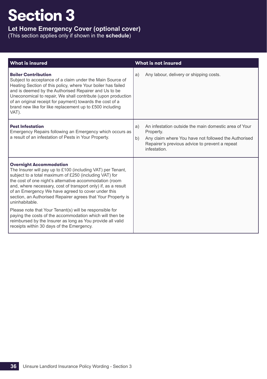### **Let Home Emergency Cover (optional cover)**

| <b>What is insured</b>                                                                                                                                                                                                                                                                                                                                                                                                      | <b>What is not insured</b>                                                                                                                                                                               |  |
|-----------------------------------------------------------------------------------------------------------------------------------------------------------------------------------------------------------------------------------------------------------------------------------------------------------------------------------------------------------------------------------------------------------------------------|----------------------------------------------------------------------------------------------------------------------------------------------------------------------------------------------------------|--|
| <b>Boiler Contribution</b><br>Subject to acceptance of a claim under the Main Source of<br>Heating Section of this policy, where Your boiler has failed<br>and is deemed by the Authorised Repairer and Us to be<br>Uneconomical to repair, We shall contribute (upon production<br>of an original receipt for payment) towards the cost of a<br>brand new like for like replacement up to £500 including<br>VAT).          | Any labour, delivery or shipping costs.<br>a)                                                                                                                                                            |  |
| <b>Pest Infestation</b><br>Emergency Repairs following an Emergency which occurs as<br>a result of an infestation of Pests in Your Property.                                                                                                                                                                                                                                                                                | An infestation outside the main domestic area of Your<br>a)<br>Property.<br>b)<br>Any claim where You have not followed the Authorised<br>Repairer's previous advice to prevent a repeat<br>infestation. |  |
| <b>Overnight Accommodation</b><br>The Insurer will pay up to £100 (including VAT) per Tenant,<br>subject to a total maximum of £250 (including VAT) for<br>the cost of one night's alternative accommodation (room<br>and, where necessary, cost of transport only) if, as a result<br>of an Emergency We have agreed to cover under this<br>section, an Authorised Repairer agrees that Your Property is<br>uninhabitable. |                                                                                                                                                                                                          |  |
| Please note that Your Tenant(s) will be responsible for<br>paying the costs of the accommodation which will then be<br>reimbursed by the Insurer as long as You provide all valid<br>receipts within 30 days of the Emergency.                                                                                                                                                                                              |                                                                                                                                                                                                          |  |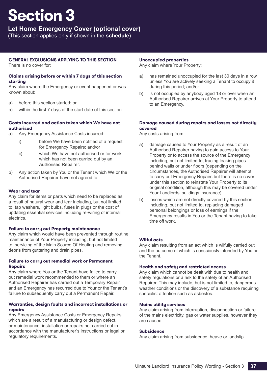### **Let Home Emergency Cover (optional cover)**

(This section applies only if shown in the **schedule**)

### **GENERAL EXCLUSIONS APPLYING TO THIS SECTION**

There is no cover for:

### **Claims arising before or within 7 days of this section starting**

Any claim where the Emergency or event happened or was known about:

- a) before this section started; or
- b) within the first 7 days of the start date of this section.

### **Costs incurred and action taken which We have not authorised**

- a) Any Emergency Assistance Costs incurred:
	- i) before We have been notified of a request for Emergency Repairs; and/or
	- ii) which We have not authorised or for work which has not been carried out by an Authorised Repairer.
- b) Any action taken by You or the Tenant which We or the Authorised Repairer have not agreed to.

### **Wear and tear**

Any claim for items or parts which need to be replaced as a result of natural wear and tear including, but not limited to, tap washers, light bulbs, fuses in plugs or the cost of updating essential services including re-wiring of internal electrics.

### **Failure to carry out Property maintenance**

Any claim which would have been prevented through routine maintenance of Your Property including, but not limited to, servicing of the Main Source Of Heating and removing debris from guttering and drain pipes.

#### **Failure to carry out remedial work or Permanent Repairs**

Any claim where You or the Tenant have failed to carry out remedial work recommended to them or where an Authorised Repairer has carried out a Temporary Repair and an Emergency has recurred due to Your or the Tenant's failure to subsequently carry out a Permanent Repair.

### **Warranties, design faults and incorrect installations or repairs**

Any Emergency Assistance Costs or Emergency Repairs which are a result of a manufacturing or design defect. or maintenance, installation or repairs not carried out in accordance with the manufacturer's instructions or legal or regulatory requirements.

### **Unoccupied properties**

Any claim where Your Property:

- a) has remained unoccupied for the last 30 days in a row unless You are actively seeking a Tenant to occupy it during this period; and/or
- b) is not occupied by anybody aged 18 or over when an Authorised Repairer arrives at Your Property to attend to an Emergency.

### **Damage caused during repairs and losses not directly covered**

Any costs arising from:

- a) damage caused to Your Property as a result of an Authorised Repairer having to gain access to Your Property or to access the source of the Emergency including, but not limited to, tracing leaking pipes behind walls or under floors (depending on the circumstances, the Authorised Repairer will attempt to carry out Emergency Repairs but there is no cover under this section to reinstate Your Property to its original condition, although this may be covered under Your Landlords' buildings insurance);
- b) losses which are not directly covered by this section including, but not limited to, replacing damaged personal belongings or loss of earnings if the Emergency results in You or the Tenant having to take time off work.

### **Wilful acts**

Any claim resulting from an act which is wilfully carried out and the outcome of which is consciously intended by You or the Tenant.

### **Health and safety and restricted access**

Any claim which cannot be dealt with due to health and safety regulations or a risk to the safety of an Authorised Repairer. This may include, but is not limited to, dangerous weather conditions or the discovery of a substance requiring specialist attention such as asbestos.

### **Mains utility services**

Any claim arising from interruption, disconnection or failure of the mains electricity, gas or water supplies, however they are caused.

### **Subsidence**

Any claim arising from subsidence, heave or landslip.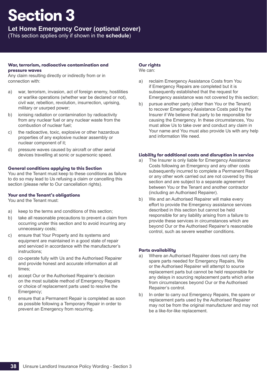**Let Home Emergency Cover (optional cover)**

(This section applies only if shown in the **schedule**)

### **War, terrorism, radioactive contamination and pressure waves**

Any claim resulting directly or indirectly from or in connection with:

- a) war, terrorism, invasion, act of foreign enemy, hostilities or warlike operations (whether war be declared or not), civil war, rebellion, revolution, insurrection, uprising, military or usurped power;
- b) ionising radiation or contamination by radioactivity from any nuclear fuel or any nuclear waste from the combustion of nuclear fuel;
- c) the radioactive, toxic, explosive or other hazardous properties of any explosive nuclear assembly or nuclear component of it;
- d) pressure waves caused by aircraft or other aerial devices travelling at sonic or supersonic speed.

### **General conditions applying to this Section**

You and the Tenant must keep to these conditions as failure to do so may lead to Us refusing a claim or cancelling this section (please refer to Our cancellation rights).

### **Your and the Tenant's obligations**

You and the Tenant must:

- a) keep to the terms and conditions of this section;
- b) take all reasonable precautions to prevent a claim from occurring under this section and to avoid incurring any unnecessary costs;
- c) ensure that Your Property and its systems and equipment are maintained in a good state of repair and serviced in accordance with the manufacturer's instructions;
- d) co-operate fully with Us and the Authorised Repairer and provide honest and accurate information at all times;
- e) accept Our or the Authorised Repairer's decision on the most suitable method of Emergency Repairs or choice of replacement parts used to resolve the Emergency;
- f) ensure that a Permanent Repair is completed as soon as possible following a Temporary Repair in order to prevent an Emergency from recurring.

### **Our rights**

We can:

- a) reclaim Emergency Assistance Costs from You if Emergency Repairs are completed but it is subsequently established that the request for Emergency assistance was not covered by this section;
- b) pursue another party (other than You or the Tenant) to recover Emergency Assistance Costs paid by the Insurer if We believe that party to be responsible for causing the Emergency. In these circumstances, You must allow Us to take over and conduct any claim in Your name and You must also provide Us with any help and information We need.

### **Liability for additional costs and disruption in service**

- a) The Insurer is only liable for Emergency Assistance Costs following an Emergency and any other costs subsequently incurred to complete a Permanent Repair or any other work carried out are not covered by this section and are subject to a separate agreement between You or the Tenant and another contractor (including an Authorised Repairer).
- b) We and an Authorised Repairer will make every effort to provide the Emergency assistance services described in this section but cannot be held responsible for any liability arising from a failure to provide these services in circumstances which are beyond Our or the Authorised Repairer's reasonable control, such as severe weather conditions.

### **Parts availability**

- a) Where an Authorised Repairer does not carry the spare parts needed for Emergency Repairs, We or the Authorised Repairer will attempt to source replacement parts but cannot be held responsible for any delays in sourcing replacement parts which arise from circumstances beyond Our or the Authorised Repairer's control.
- b) In order to carry out Emergency Repairs, the spare or replacement parts used by the Authorised Repairer may not be from the original manufacturer and may not be a like-for-like replacement.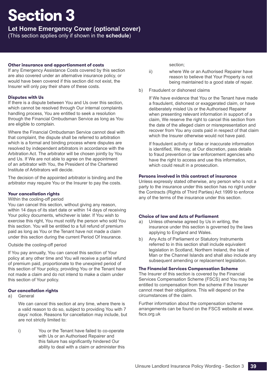**Let Home Emergency Cover (optional cover)**

(This section applies only if shown in the **schedule**)

### **Other insurance and apportionment of costs**

If any Emergency Assistance Costs covered by this section are also covered under an alternative insurance policy, or would have been covered if this section did not exist, the Insurer will only pay their share of these costs.

### **Disputes with Us**

If there is a dispute between You and Us over this section, which cannot be resolved through Our internal complaints handling process, You are entitled to seek a resolution through the Financial Ombudsman Service as long as You are eligible to complain.

Where the Financial Ombudsman Service cannot deal with that complaint, the dispute shall be referred to arbitration which is a formal and binding process where disputes are resolved by independent arbitrators in accordance with the Arbitration Act. The arbitrator will be chosen jointly by You and Us. If We are not able to agree on the appointment of an arbitrator with You, the President of the Chartered Institute of Arbitrators will decide.

The decision of the appointed arbitrator is binding and the arbitrator may require You or the Insurer to pay the costs.

### **Your cancellation rights**

### Within the cooling-off period

You can cancel this section, without giving any reason, within 14 days of its start date or within 14 days of receiving Your policy documents, whichever is later. If You wish to exercise this right, You must notify the person who sold You this section. You will be entitled to a full refund of premium paid as long as You or the Tenant have not made a claim under this section during the current Period Of Insurance.

Outside the cooling-off period

If You pay annually, You can cancel this section of Your policy at any other time and You will receive a partial refund of premium paid, proportionate to the unexpired period of this section of Your policy, providing You or the Tenant have not made a claim and do not intend to make a claim under this section of Your policy.

### **Our cancellation rights**

a) General

We can cancel this section at any time, where there is a valid reason to do so, subject to providing You with 7 days' notice. Reasons for cancellation may include, but are not strictly limited to:

i) You or the Tenant have failed to co-operate with Us or an Authorised Repairer and this failure has significantly hindered Our ability to deal with a claim or administer this section;

- ii) where We or an Authorised Repairer have reason to believe that Your Property is not being maintained to a good state of repair.
- b) Fraudulent or dishonest claims

If We have evidence that You or the Tenant have made a fraudulent, dishonest or exaggerated claim, or have deliberately misled Us or the Authorised Repairer when presenting relevant information in support of a claim, We reserve the right to cancel this section from the date of the alleged claim or misrepresentation and recover from You any costs paid in respect of that claim which the Insurer otherwise would not have paid.

If fraudulent activity or false or inaccurate information is identified, We may, at Our discretion, pass details to fraud prevention or law enforcement agencies who have the right to access and use this information. which could result in a prosecution.

### **Persons involved in this contract of insurance**

Unless expressly stated otherwise, any person who is not a party to the insurance under this section has no right under the Contracts (Rights of Third Parties) Act 1999 to enforce any of the terms of the insurance under this section.

### **Choice of law and Acts of Parliament**

- a) Unless otherwise agreed by Us in writing, the insurance under this section is governed by the laws applying to England and Wales.
- b) Any Acts of Parliament or Statutory Instruments referred to in this section shall include equivalent legislation in Scotland, Northern Ireland, the Isle of Man or the Channel Islands and shall also include any subsequent amending or replacement legislation.

### **The Financial Services Compensation Scheme**

The Insurer of this section is covered by the Financial Services Compensation Scheme (FSCS) and You may be entitled to compensation from the scheme if the Insurer cannot meet their obligations. This will depend on the circumstances of the claim.

Further information about the compensation scheme arrangements can be found on the FSCS website at www. fscs.org.uk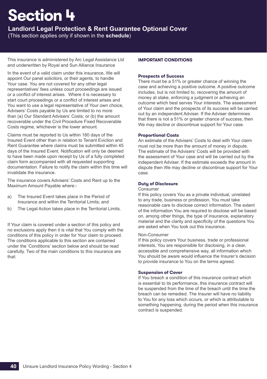**Landlord Legal Protection & Rent Guarantee Optional Cover**

(This section applies only if shown in the **schedule**)

This insurance is administered by Arc Legal Assistance Ltd and underwritten by Royal and Sun Alliance Insurance

In the event of a valid claim under this insurance, We will appoint Our panel solicitors, or their agents, to handle Your case. You are not covered for any other legal representatives' fees unless court proceedings are issued or a conflict of interest arises. Where it is necessary to start court proceedings or a conflict of interest arises and You want to use a legal representative of Your own choice, Advisers' Costs payable by Us are limited to no more than (a) Our Standard Advisers' Costs; or (b) the amount recoverable under the Civil Procedure Fixed Recoverable Costs regime, whichever is the lower amount.

Claims must be reported to Us within 180 days of the Insured Event other than in relation to Tenant Eviction and Rent Guarantee where claims must be submitted within 45 days of the Insured Event. Notification will only be deemed to have been made upon receipt by Us of a fully completed claim form accompanied with all requested supporting documentation. Failure to notify the claim within this time will invalidate the insurance.

The insurance covers Advisers' Costs and Rent up to the Maximum Amount Payable where:-

- a) The Insured Event takes place in the Period of Insurance and within the Territorial Limits; and
- b) The Legal Action takes place in the Territorial Limits.

If Your claim is covered under a section of this policy and no exclusions apply then it is vital that You comply with the conditions of this policy in order for Your claim to proceed. The conditions applicable to this section are contained under the 'Conditions' section below and should be read carefully. Two of the main conditions to this insurance are that:

### **IMPORTANT CONDITIONS**

### **Prospects of Success**

There must be a 51% or greater chance of winning the case and achieving a positive outcome. A positive outcome includes, but is not limited to, recovering the amount of money at stake, enforcing a judgment or achieving an outcome which best serves Your interests. The assessment of Your claim and the prospects of its success will be carried out by an independent Adviser. If the Adviser determines that there is not a 51% or greater chance of success, then We may decline or discontinue support for Your case.

### **Proportional Costs**

An estimate of the Advisers' Costs to deal with Your claim must not be more than the amount of money in dispute. The estimate of the Advisers' Costs will be provided with the assessment of Your case and will be carried out by the independent Adviser. If the estimate exceeds the amount in dispute then We may decline or discontinue support for Your case.

### **Duty of Disclosure**

### Consumer

If this policy covers You as a private individual, unrelated to any trade, business or profession, You must take reasonable care to disclose correct information. The extent of the information You are required to disclose will be based on, among other things, the type of insurance, explanatory material and the clarity and specificity of the questions You are asked when You took out this insurance.

### Non-Consumer

If this policy covers Your business, trade or professional interests, You are responsible for disclosing, in a clear, accessible and comprehensive way, all information which You should be aware would influence the Insurer's decision to provide insurance to You on the terms agreed.

### **Suspension of Cover**

If You breach a condition of this insurance contract which is essential to its performance, this insurance contract will be suspended from the time of the breach until the time the breach can be remedied. The Insurer will have no liability to You for any loss which occurs, or which is attributable to something happening, during the period when this insurance contract is suspended.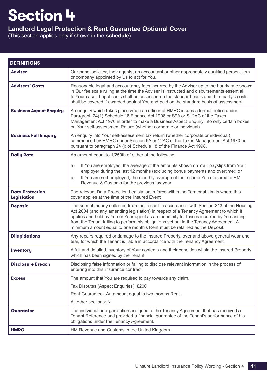### **Landlord Legal Protection & Rent Guarantee Optional Cover**

| <b>DEFINITIONS</b>                    |                                                                                                                                                                                                                                                                                                                                                                                                                                                      |
|---------------------------------------|------------------------------------------------------------------------------------------------------------------------------------------------------------------------------------------------------------------------------------------------------------------------------------------------------------------------------------------------------------------------------------------------------------------------------------------------------|
| <b>Adviser</b>                        | Our panel solicitor, their agents, an accountant or other appropriately qualified person, firm<br>or company appointed by Us to act for You.                                                                                                                                                                                                                                                                                                         |
| <b>Advisers' Costs</b>                | Reasonable legal and accountancy fees incurred by the Adviser up to the hourly rate shown<br>in Our fee scale ruling at the time the Adviser is instructed and disbursements essential<br>to Your case. Legal costs shall be assessed on the standard basis and third party's costs<br>shall be covered if awarded against You and paid on the standard basis of assessment.                                                                         |
| <b>Business Aspect Enquiry</b>        | An enquiry which takes place when an officer of HMRC issues a formal notice under<br>Paragraph 24(1) Schedule 18 Finance Act 1998 or S9A or S12AC of the Taxes<br>Management Act 1970 in order to make a Business Aspect Enquiry into only certain boxes<br>on Your self-assessment Return (whether corporate or individual).                                                                                                                        |
| <b>Business Full Enquiry</b>          | An enquiry into Your self-assessment tax return (whether corporate or individual)<br>commenced by HMRC under Section 9A or 12AC of the Taxes Management Act 1970 or<br>pursuant to paragraph 24 (i) of Schedule 18 of the Finance Act 1998.                                                                                                                                                                                                          |
| <b>Daily Rate</b>                     | An amount equal to 1/250th of either of the following:                                                                                                                                                                                                                                                                                                                                                                                               |
|                                       | If You are employed, the average of the amounts shown on Your payslips from Your<br>a)<br>employer during the last 12 months (excluding bonus payments and overtime); or<br>If You are self-employed, the monthly average of the income You declared to HM<br>b)<br>Revenue & Customs for the previous tax year                                                                                                                                      |
| <b>Data Protection</b><br>Legislation | The relevant Data Protection Legislation in force within the Territorial Limits where this<br>cover applies at the time of the Insured Event                                                                                                                                                                                                                                                                                                         |
| <b>Deposit</b>                        | The sum of money collected from the Tenant in accordance with Section 213 of the Housing<br>Act 2004 (and any amending legislation) in respect of a Tenancy Agreement to which it<br>applies and held by You or Your agent as an indemnity for losses incurred by You arising<br>from the Tenant failing to perform his obligations set out in the Tenancy Agreement. A<br>minimum amount equal to one month's Rent must be retained as the Deposit. |
| <b>Dilapidations</b>                  | Any repairs required or damage to the Insured Property, over and above general wear and<br>tear, for which the Tenant is liable in accordance with the Tenancy Agreement.                                                                                                                                                                                                                                                                            |
| <b>Inventory</b>                      | A full and detailed inventory of Your contents and their condition within the Insured Property<br>which has been signed by the Tenant.                                                                                                                                                                                                                                                                                                               |
| <b>Disclosure Breach</b>              | Disclosing false information or failing to disclose relevant information in the process of<br>entering into this insurance contract.                                                                                                                                                                                                                                                                                                                 |
| <b>Excess</b>                         | The amount that You are required to pay towards any claim.                                                                                                                                                                                                                                                                                                                                                                                           |
|                                       | Tax Disputes (Aspect Enguiries): £200                                                                                                                                                                                                                                                                                                                                                                                                                |
|                                       | Rent Guarantee: An amount equal to two months Rent.                                                                                                                                                                                                                                                                                                                                                                                                  |
|                                       | All other sections: Nil                                                                                                                                                                                                                                                                                                                                                                                                                              |
| Guarantor                             | The individual or organisation assigned to the Tenancy Agreement that has received a<br>Tenant Reference and provided a financial guarantee of the Tenant's performance of his<br>obligations under the Tenancy Agreement.                                                                                                                                                                                                                           |
| <b>HMRC</b>                           | HM Revenue and Customs in the United Kingdom.                                                                                                                                                                                                                                                                                                                                                                                                        |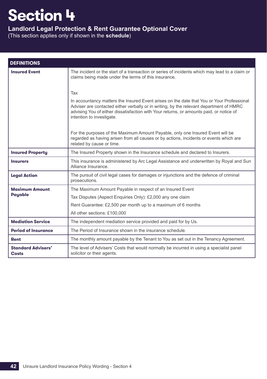### **Landlord Legal Protection & Rent Guarantee Optional Cover**

| <b>DEFINITIONS</b>                 |                                                                                                                                                                                                                                                                                                              |  |
|------------------------------------|--------------------------------------------------------------------------------------------------------------------------------------------------------------------------------------------------------------------------------------------------------------------------------------------------------------|--|
| <b>Insured Event</b>               | The incident or the start of a transaction or series of incidents which may lead to a claim or<br>claims being made under the terms of this insurance.                                                                                                                                                       |  |
|                                    | Tax                                                                                                                                                                                                                                                                                                          |  |
|                                    | In accountancy matters the Insured Event arises on the date that You or Your Professional<br>Adviser are contacted either verbally or in writing, by the relevant department of HMRC<br>advising You of either dissatisfaction with Your returns, or amounts paid, or notice of<br>intention to investigate. |  |
|                                    | For the purposes of the Maximum Amount Payable, only one Insured Event will be<br>regarded as having arisen from all causes or by actions, incidents or events which are<br>related by cause or time.                                                                                                        |  |
| <b>Insured Property</b>            | The Insured Property shown in the Insurance schedule and declared to Insurers.                                                                                                                                                                                                                               |  |
| <b>Insurers</b>                    | This insurance is administered by Arc Legal Assistance and underwritten by Royal and Sun<br>Alliance Insurance.                                                                                                                                                                                              |  |
| <b>Legal Action</b>                | The pursuit of civil legal cases for damages or injunctions and the defence of criminal<br>prosecutions.                                                                                                                                                                                                     |  |
| <b>Maximum Amount</b>              | The Maximum Amount Payable in respect of an Insured Event                                                                                                                                                                                                                                                    |  |
| Payable                            | Tax Disputes (Aspect Enguiries Only): £2,000 any one claim                                                                                                                                                                                                                                                   |  |
|                                    | Rent Guarantee: £2,500 per month up to a maximum of 6 months                                                                                                                                                                                                                                                 |  |
|                                    | All other sections: £100,000                                                                                                                                                                                                                                                                                 |  |
| <b>Mediation Service</b>           | The independent mediation service provided and paid for by Us.                                                                                                                                                                                                                                               |  |
| <b>Period of Insurance</b>         | The Period of Insurance shown in the insurance schedule.                                                                                                                                                                                                                                                     |  |
| Rent                               | The monthly amount payable by the Tenant to You as set out in the Tenancy Agreement.                                                                                                                                                                                                                         |  |
| <b>Standard Advisers'</b><br>Costs | The level of Advisers' Costs that would normally be incurred in using a specialist panel<br>solicitor or their agents.                                                                                                                                                                                       |  |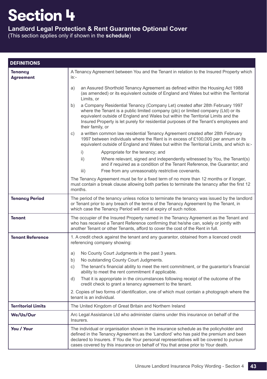### **Landlord Legal Protection & Rent Guarantee Optional Cover**

| <b>DEFINITIONS</b>                 |                                                                                                                                                                                                                                                                                                                                                                            |  |  |
|------------------------------------|----------------------------------------------------------------------------------------------------------------------------------------------------------------------------------------------------------------------------------------------------------------------------------------------------------------------------------------------------------------------------|--|--|
| <b>Tenancu</b><br><b>Agreement</b> | A Tenancy Agreement between You and the Tenant in relation to the Insured Property which<br>is:-                                                                                                                                                                                                                                                                           |  |  |
|                                    | an Assured Shorthold Tenancy Agreement as defined within the Housing Act 1988<br>a)<br>(as amended) or its equivalent outside of England and Wales but within the Territorial<br>Limits, or                                                                                                                                                                                |  |  |
|                                    | a Company Residential Tenancy (Company Let) created after 28th February 1997<br>b)<br>where the Tenant is a public limited company (plc) or limited company (Ltd) or its<br>equivalent outside of England and Wales but within the Territorial Limits and the<br>Insured Property is let purely for residential purposes of the Tenant's employees and<br>their family, or |  |  |
|                                    | a written common law residential Tenancy Agreement created after 28th February<br>C)<br>1997 between individuals where the Rent is in excess of £100,000 per annum or its<br>equivalent outside of England and Wales but within the Territorial Limits, and which is:-                                                                                                     |  |  |
|                                    | Appropriate for the tenancy; and<br>i)                                                                                                                                                                                                                                                                                                                                     |  |  |
|                                    | Where relevant, signed and independently witnessed by You, the Tenant(s)<br>ii)<br>and if required as a condition of the Tenant Reference, the Guarantor; and                                                                                                                                                                                                              |  |  |
|                                    | Free from any unreasonably restrictive covenants.<br>iii)                                                                                                                                                                                                                                                                                                                  |  |  |
|                                    | The Tenancy Agreement must be for a fixed term of no more than 12 months or if longer,<br>must contain a break clause allowing both parties to terminate the tenancy after the first 12<br>months.                                                                                                                                                                         |  |  |
| <b>Tenancy Period</b>              | The period of the tenancy unless notice to terminate the tenancy was issued by the landlord<br>or Tenant prior to any breach of the terms of the Tenancy Agreement by the Tenant, in<br>which case the Tenancy Period will end at expiry of such notice.                                                                                                                   |  |  |
| <b>Tenant</b>                      | The occupier of the Insured Property named in the Tenancy Agreement as the Tenant and<br>who has received a Tenant Reference confirming that he/she can, solely or jointly with<br>another Tenant or other Tenants, afford to cover the cost of the Rent in full.                                                                                                          |  |  |
| <b>Tenant Reference</b>            | 1. A credit check against the tenant and any quarantor, obtained from a licenced credit<br>referencing company showing:                                                                                                                                                                                                                                                    |  |  |
|                                    | a)<br>No County Court Judgments in the past 3 years.                                                                                                                                                                                                                                                                                                                       |  |  |
|                                    | b)<br>No outstanding County Court Judgments.                                                                                                                                                                                                                                                                                                                               |  |  |
|                                    | The tenant's financial ability to meet the rent commitment, or the quarantor's financial<br>C)<br>ability to meet the rent commitment if applicable.                                                                                                                                                                                                                       |  |  |
|                                    | That it is appropriate in the circumstances following receipt of the outcome of the<br>d)<br>credit check to grant a tenancy agreement to the tenant.                                                                                                                                                                                                                      |  |  |
|                                    | 2. Copies of two forms of identification, one of which must contain a photograph where the<br>tenant is an individual.                                                                                                                                                                                                                                                     |  |  |
| <b>Territorial Limits</b>          | The United Kingdom of Great Britain and Northern Ireland                                                                                                                                                                                                                                                                                                                   |  |  |
| We/Us/Our                          | Arc Legal Assistance Ltd who administer claims under this insurance on behalf of the<br>Insurers.                                                                                                                                                                                                                                                                          |  |  |
| You / Your                         | The individual or organisation shown in the insurance schedule as the policyholder and<br>defined in the Tenancy Agreement as the 'Landlord' who has paid the premium and been<br>declared to Insurers. If You die Your personal representatives will be covered to pursue<br>cases covered by this insurance on behalf of You that arose prior to Your death.             |  |  |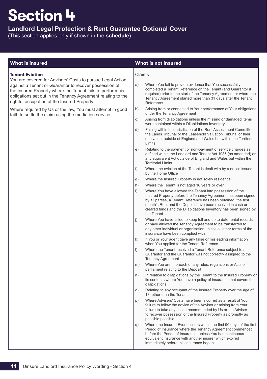### **Landlord Legal Protection & Rent Guarantee Optional Cover**

(This section applies only if shown in the **schedule**)

### **Tenant Eviction**

You are covered for Advisers' Costs to pursue Legal Action against a Tenant or Guarantor to recover possession of the Insured Property where the Tenant fails to perform his obligations set out in the Tenancy Agreement relating to the rightful occupation of the Insured Property.

Where required by Us or the law, You must attempt in good faith to settle the claim using the mediation service.

### **What is insured What is not insured**

#### Claims

- a) Where You fail to provide evidence that You successfully completed a Tenant Reference on the Tenant (and Guarantor if required) prior to the start of the Tenancy Agreement or where the Tenancy Agreement started more than 31 days after the Tenant Reference
- b) Arising from or connected to Your performance of Your obligations under the Tenancy Agreement
- c) Arising from dilapidations unless the missing or damaged items were contained within a Dilapidations Inventory
- d) Falling within the jurisdiction of the Rent Assessment Committee, the Lands Tribunal or the Leasehold Valuation Tribunal or their equivalent outside of England and Wales but within the Territorial Limits
- e) Relating to the payment or non-payment of service charges as defined within the Landlord and Tenant Act 1985 (as amended) or any equivalent Act outside of England and Wales but within the Territorial Limits
- f) Where the eviction of the Tenant is dealt with by a notice issued by the Home Office
- g) Where the Insured Property is not solely residential
- h) Where the Tenant is not aged 18 years or over
- i) Where You have allowed the Tenant into possession of the Insured Property before the Tenancy Agreement has been signed by all parties, a Tenant Reference has been obtained, the first month's Rent and the Deposit have been received in cash or cleared funds and the Dilapidations Inventory has been signed by the Tenant
- j) Where You have failed to keep full and up to date rental records or have allowed the Tenancy Agreement to be transferred to any other individual or organisation unless all other terms of the insurance have been complied with
- k) If You or Your agent gave any false or misleading information when You applied for the Tenant Reference
- l) Where the Tenant received a Tenant Reference subject to a Guarantor and the Guarantor was not correctly assigned to the Tenancy Agreement
- m) Where You are in breach of any rules, regulations or Acts of parliament relating to the Deposit
- n) In relation to dilapidations by the Tenant to the Insured Property or its contents where You have a policy of insurance that covers the dilapidations
- o) Relating to any occupant of the Insured Property over the age of 18, other than the Tenant
- p) Where Advisers' Costs have been incurred as a result of Your failure to follow the advice of the Adviser or arising from Your failure to take any action recommended by Us or the Adviser to recover possession of the Insured Property as promptly as possible possible
- q) Where the Insured Event occurs within the first 90 days of the first Period of Insurance where the Tenancy Agreement commenced before the Period of Insurance, unless You had continuous equivalent insurance with another insurer which expired immediately before this insurance began.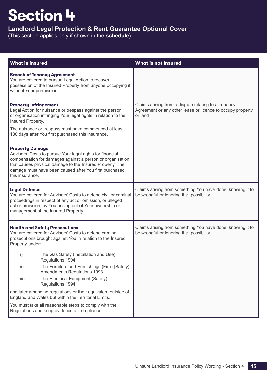### **Landlord Legal Protection & Rent Guarantee Optional Cover**

| <b>What is insured</b>                                                                                                                                                                                                                                                                          |                                                                              | <b>What is not insured</b>                                                                                                   |
|-------------------------------------------------------------------------------------------------------------------------------------------------------------------------------------------------------------------------------------------------------------------------------------------------|------------------------------------------------------------------------------|------------------------------------------------------------------------------------------------------------------------------|
| <b>Breach of Tenancy Agreement</b><br>You are covered to pursue Legal Action to recover<br>possession of the Insured Property from anyone occupying it<br>without Your permission.                                                                                                              |                                                                              |                                                                                                                              |
| <b>Property Infringement</b><br>Legal Action for nuisance or trespass against the person<br>or organisation infringing Your legal rights in relation to the<br>Insured Property.<br>The nuisance or trespass must have commenced at least<br>180 days after You first purchased this insurance. |                                                                              | Claims arising from a dispute relating to a Tenancy<br>Agreement or any other lease or licence to occupy property<br>or land |
| <b>Property Damage</b><br>Advisers' Costs to pursue Your legal rights for financial<br>compensation for damages against a person or organisation<br>that causes physical damage to the Insured Property. The<br>damage must have been caused after You first purchased<br>this insurance.       |                                                                              |                                                                                                                              |
| <b>Legal Defence</b><br>You are covered for Advisers' Costs to defend civil or criminal<br>proceedings in respect of any act or omission, or alleged<br>act or omission, by You arising out of Your ownership or<br>management of the Insured Property.                                         |                                                                              | Claims arising from something You have done, knowing it to<br>be wrongful or ignoring that possibility.                      |
| <b>Health and Safety Prosecutions</b><br>You are covered for Advisers' Costs to defend criminal<br>prosecutions brought against You in relation to the Insured<br>Property under:                                                                                                               |                                                                              | Claims arising from something You have done, knowing it to<br>be wrongful or ignoring that possibility                       |
| i)                                                                                                                                                                                                                                                                                              | The Gas Safety (Installation and Use)<br>Regulations 1994                    |                                                                                                                              |
| ii)                                                                                                                                                                                                                                                                                             | The Furniture and Furnishings (Fire) (Safety)<br>Amendments Regulations 1993 |                                                                                                                              |
| iii)                                                                                                                                                                                                                                                                                            | The Electrical Equipment (Safety)<br>Regulations 1994                        |                                                                                                                              |
| and later amending regulations or their equivalent outside of<br>England and Wales but within the Territorial Limits.                                                                                                                                                                           |                                                                              |                                                                                                                              |
| You must take all reasonable steps to comply with the<br>Regulations and keep evidence of compliance.                                                                                                                                                                                           |                                                                              |                                                                                                                              |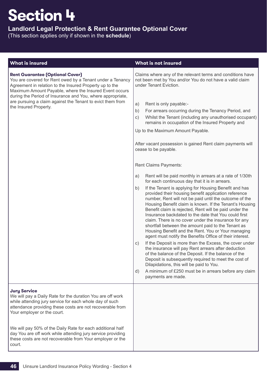### **Landlord Legal Protection & Rent Guarantee Optional Cover**

| <b>What is insured</b>                                                                                                                                                                                                                                                                 | <b>What is not insured</b>                                                                                                                                                                                                                                                                                                                                                                                                                                                                                                                                                                 |
|----------------------------------------------------------------------------------------------------------------------------------------------------------------------------------------------------------------------------------------------------------------------------------------|--------------------------------------------------------------------------------------------------------------------------------------------------------------------------------------------------------------------------------------------------------------------------------------------------------------------------------------------------------------------------------------------------------------------------------------------------------------------------------------------------------------------------------------------------------------------------------------------|
| <b>Rent Guarantee (Optional Cover)</b><br>You are covered for Rent owed by a Tenant under a Tenancy<br>Agreement in relation to the Insured Property up to the<br>Maximum Amount Payable, where the Insured Event occurs<br>during the Period of Insurance and You, where appropriate, | Claims where any of the relevant terms and conditions have<br>not been met by You and/or You do not have a valid claim<br>under Tenant Eviction.                                                                                                                                                                                                                                                                                                                                                                                                                                           |
| are pursuing a claim against the Tenant to evict them from<br>the Insured Property.                                                                                                                                                                                                    | Rent is only payable:-<br>a)<br>b)<br>For arrears occurring during the Tenancy Period, and<br>Whilst the Tenant (including any unauthorised occupant)<br>C)<br>remains in occupation of the Insured Property and<br>Up to the Maximum Amount Payable.                                                                                                                                                                                                                                                                                                                                      |
|                                                                                                                                                                                                                                                                                        | After vacant possession is gained Rent claim payments will<br>cease to be payable.                                                                                                                                                                                                                                                                                                                                                                                                                                                                                                         |
|                                                                                                                                                                                                                                                                                        | Rent Claims Payments:                                                                                                                                                                                                                                                                                                                                                                                                                                                                                                                                                                      |
|                                                                                                                                                                                                                                                                                        | Rent will be paid monthly in arrears at a rate of 1/30th<br>a)<br>for each continuous day that it is in arrears.                                                                                                                                                                                                                                                                                                                                                                                                                                                                           |
|                                                                                                                                                                                                                                                                                        | If the Tenant is applying for Housing Benefit and has<br>b)<br>provided their housing benefit application reference<br>number, Rent will not be paid until the outcome of the<br>Housing Benefit claim is known. If the Tenant's Housing<br>Benefit claim is rejected, Rent will be paid under the<br>Insurance backdated to the date that You could first<br>claim. There is no cover under the insurance for any<br>shortfall between the amount paid to the Tenant as<br>Housing Benefit and the Rent. You or Your managing<br>agent must notify the Benefits Office of their interest. |
|                                                                                                                                                                                                                                                                                        | If the Deposit is more than the Excess, the cover under<br>C)<br>the insurance will pay Rent arrears after deduction<br>of the balance of the Deposit. If the balance of the<br>Deposit is subsequently required to meet the cost of<br>Dilapidations, this will be paid to You.                                                                                                                                                                                                                                                                                                           |
|                                                                                                                                                                                                                                                                                        | d)<br>A minimum of £250 must be in arrears before any claim<br>payments are made.                                                                                                                                                                                                                                                                                                                                                                                                                                                                                                          |
| <b>Jury Service</b><br>We will pay a Daily Rate for the duration You are off work<br>while attending jury service for each whole day of such<br>attendance providing these costs are not recoverable from<br>Your employer or the court.                                               |                                                                                                                                                                                                                                                                                                                                                                                                                                                                                                                                                                                            |
| We will pay 50% of the Daily Rate for each additional half<br>day You are off work while attending jury service providing<br>these costs are not recoverable from Your employer or the<br>court.                                                                                       |                                                                                                                                                                                                                                                                                                                                                                                                                                                                                                                                                                                            |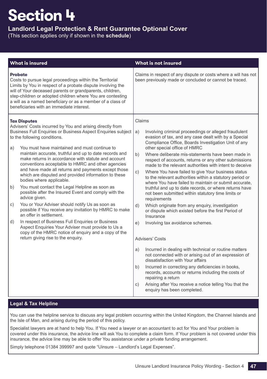### **Landlord Legal Protection & Rent Guarantee Optional Cover**

(This section applies only if shown in the **schedule**)

| <b>What is insured</b>                                                                                                                                                                                                                                                                                                                                                                                                                                                                                                                                                                                                                                                                                                                                                                                                                                                                                                                                                                                                                                 | <b>What is not insured</b>                                                                                                                                                                                                                                                                                                                                                                                                                                                                                                                                                                                                                                                                                                                                                                                                                                                                                                                                                                                                                                                                                                                                                                                                                                                                                         |
|--------------------------------------------------------------------------------------------------------------------------------------------------------------------------------------------------------------------------------------------------------------------------------------------------------------------------------------------------------------------------------------------------------------------------------------------------------------------------------------------------------------------------------------------------------------------------------------------------------------------------------------------------------------------------------------------------------------------------------------------------------------------------------------------------------------------------------------------------------------------------------------------------------------------------------------------------------------------------------------------------------------------------------------------------------|--------------------------------------------------------------------------------------------------------------------------------------------------------------------------------------------------------------------------------------------------------------------------------------------------------------------------------------------------------------------------------------------------------------------------------------------------------------------------------------------------------------------------------------------------------------------------------------------------------------------------------------------------------------------------------------------------------------------------------------------------------------------------------------------------------------------------------------------------------------------------------------------------------------------------------------------------------------------------------------------------------------------------------------------------------------------------------------------------------------------------------------------------------------------------------------------------------------------------------------------------------------------------------------------------------------------|
| <b>Probate</b><br>Costs to pursue legal proceedings within the Territorial<br>Limits by You in respect of a probate dispute involving the<br>will of Your deceased parents or grandparents, children,<br>step-children or adopted children where You are contesting<br>a will as a named beneficiary or as a member of a class of<br>beneficiaries with an immediate interest.                                                                                                                                                                                                                                                                                                                                                                                                                                                                                                                                                                                                                                                                         | Claims in respect of any dispute or costs where a will has not<br>been previously made or concluded or cannot be traced.                                                                                                                                                                                                                                                                                                                                                                                                                                                                                                                                                                                                                                                                                                                                                                                                                                                                                                                                                                                                                                                                                                                                                                                           |
| <b>Tax Disputes</b><br>Advisers' Costs incurred by You and arising directly from<br>Business Full Enquiries or Business Aspect Enquiries subject<br>to the following conditions.<br>You must have maintained and must continue to<br>a)<br>maintain accurate, truthful and up to date records and<br>make returns in accordance with statute and account<br>conventions acceptable to HMRC and other agencies<br>and have made all returns and payments except those<br>which are disputed and provided information to these<br>bodies where applicable.<br>You must contact the Legal Helpline as soon as<br>b)<br>possible after the Insured Event and comply with the<br>advice given.<br>You or Your Adviser should notify Us as soon as<br>C)<br>possible if You receive any invitation by HMRC to make<br>an offer in settlement.<br>d)<br>In respect of Business Full Enguiries or Business<br>Aspect Enquiries Your Adviser must provide to Us a<br>copy of the HMRC notice of enquiry and a copy of the<br>return giving rise to the enguiry. | Claims<br>Involving criminal proceedings or alleged fraudulent<br>a)<br>evasion of tax, and any case dealt with by a Special<br>Compliance Office, Boards Investigation Unit of any<br>other special office of HMRC<br>Where deliberate mis-statements have been made in<br>b)<br>respect of accounts, returns or any other submissions<br>made to the relevant authorities with intent to deceive<br>Where You have failed to give Your business status<br>C)<br>to the relevant authorities within a statutory period or<br>where You have failed to maintain or submit accurate.<br>truthful and up to date records, or where returns have<br>not been submitted within statutory time limits or<br>requirements<br>Which originate from any enguiry, investigation<br>d)<br>or dispute which existed before the first Period of<br>Insurance<br>e)<br>Involving tax avoidance schemes.<br>Advisers' Costs<br>Incurred in dealing with technical or routine matters<br>a)<br>not connected with or arising out of an expression of<br>dissatisfaction with Your affairs<br>Incurred in correcting any deficiencies in books,<br>b)<br>records, accounts or returns including the costs of<br>repairing a return<br>Arising after You receive a notice telling You that the<br>C)<br>enquiry has been completed. |

### **Legal & Tax Helpline**

You can use the helpline service to discuss any legal problem occurring within the United Kingdom, the Channel Islands and the Isle of Man, and arising during the period of this policy.

Specialist lawyers are at hand to help You. If You need a lawyer or an accountant to act for You and Your problem is covered under this insurance, the advice line will ask You to complete a claim form. If Your problem is not covered under this insurance, the advice line may be able to offer You assistance under a private funding arrangement.

Simply telephone 01384 399997 and quote "Uinsure – Landlord's Legal Expenses".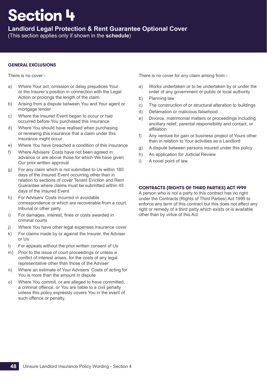**Landlord Legal Protection & Rent Guarantee Optional Cover**

(This section applies only if shown in the **schedule**)

### **GENERAL EXCLUSIONS**

There is no cover:-

- a) Where Your act, omission or delay prejudices Your or the Insurer's position in connection with the Legal Action or prolongs the length of the claim
- b) Arising from a dispute between You and Your agent or mortgage lender
- c) Where the Insured Event began to occur or had occurred before You purchased this insurance
- d) Where You should have realised when purchasing or renewing this insurance that a claim under this insurance might occur
- e) Where You have breached a condition of this insurance
- f) Where Advisers' Costs have not been agreed in advance or are above those for which We have given Our prior written approval
- g) For any claim which is not submitted to Us within 180 days of the Insured Event occurring other than in relation to sections of cover Tenant Eviction and Rent Guarantee where claims must be submitted within 45 days of the Insured Event
- h) For Advisers' Costs incurred in avoidable correspondence or which are recoverable from a court, tribunal or other party
- i) For damages, interest, fines or costs awarded in criminal courts
- Where You have other legal expenses insurance cover
- k) For claims made by or against the Insurer, the Adviser or Us
- l) For appeals without the prior written consent of Us
- m) Prior to the issue of court proceedings or unless a conflict of interest arises, for the costs of any legal representative other than those of the Adviser
- n) Where an estimate of Your Advisers' Costs of acting for You is more than the amount in dispute
- o) Where You commit, or are alleged to have committed, a criminal offence, or You are liable to a civil penalty unless this policy expressly covers You in the event of such offence or penalty.

There is no cover for any claim arising from:-

- a) Works undertaken or to be undertaken by or under the order of any government or public or local authority
- b) Planning law
- c) The construction of or structural alteration to buildings
- d) Defamation or malicious falsehood
- e) Divorce, matrimonial matters or proceedings including ancillary relief, parental responsibility and contact, or affiliation
- f) Any venture for gain or business project of Yours other than in relation to Your activities as a Landlord
- g) A dispute between persons insured under this policy
- h) An application for Judicial Review
- i) A novel point of law.

### **CONTRACTS (RIGHTS OF THIRD PARTIES) ACT 1999**

A person who is not a party to this contract has no right under the Contracts (Rights of Third Parties) Act 1999 to enforce any term of this contract but this does not affect any right or remedy of a third party which exists or is available other than by virtue of this Act.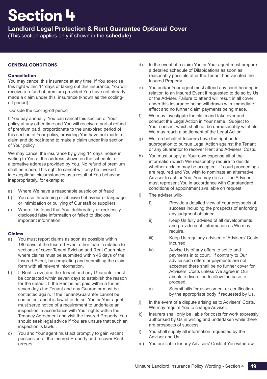**Landlord Legal Protection & Rent Guarantee Optional Cover**

(This section applies only if shown in the **schedule**)

### **GENERAL CONDITIONS**

### **Cancellation**

You may cancel this insurance at any time. If You exercise this right within 14 days of taking out this insurance, You will receive a refund of premium provided You have not already made a claim under this insurance (known as the coolingoff period).

Outside the cooling-off period

If You pay annually, You can cancel this section of Your policy at any other time and You will receive a partial refund of premium paid, proportionate to the unexpired period of this section of Your policy, providing You have not made a claim and do not intend to make a claim under this section of Your policy.

We may cancel the insurance by giving 14 days' notice in writing to You at the address shown on the schedule, or alternative address provided by You. No refund of premium shall be made. This right to cancel will only be invoked in exceptional circumstances as a result of You behaving inappropriately, for example:

- a) Where We have a reasonable suspicion of fraud
- b) You use threatening or abusive behaviour or language or intimidation or bullying of Our staff or suppliers
- c) Where it is found that You, deliberately or recklessly, disclosed false information or failed to disclose important information

### **Claims**

- You must report claims as soon as possible within 180 days of the Insured Event other than in relation to sections of cover Tenant Eviction and Rent Guarantee where claims must be submitted within 45 days of the Insured Event, by completing and submitting the claim form with all relevant information.
- b) If Rent is overdue the Tenant and any Guarantor must be contacted within seven days to establish the reason for the default. If the Rent is not paid within a further seven days the Tenant and any Guarantor must be contacted again. If the Tenant/Guarantor cannot be contacted, and it is lawful to do so, You or Your agent must serve notice of a requirement to undertake an inspection in accordance with Your rights within the Tenancy Agreement and visit the Insured Property. You should seek legal advice if You are unsure that such an inspection is lawful.
- c) You and Your agent must act promptly to gain vacant possession of the Insured Property and recover Rent arrears.
- d) In the event of a claim You or Your agent must prepare a detailed schedule of Dilapidations as soon as reasonably possible after the Tenant has vacated the Insured Property.
- e) You and/or Your agent must attend any court hearing in relation to an Insured Event if requested to do so by Us or the Adviser. Failure to attend will result in all cover under this insurance being withdrawn with immediate effect and no further claim payments being made.
- f) We may investigate the claim and take over and conduct the Legal Action in Your name. Subject to Your consent which shall not be unreasonably withheld We may reach a settlement of the Legal Action.
- g) We, on behalf of Insurers have the right under subrogation to pursue Legal Action against the Tenant or any Guarantor to recover Rent and Advisers' Costs.
- h) You must supply at Your own expense all of the information which We reasonably require to decide whether a claim may be accepted. If court proceedings are required and You wish to nominate an alternative Adviser to act for You, You may do so. The Adviser must represent You in accordance with Our standard conditions of appointment available on request.
- i) The adviser will:
	- i) Provide a detailed view of Your prospects of success including the prospects of enforcing any judgment obtained.
	- ii) Keep Us fully advised of all developments and provide such information as We may require.
	- iii) Keep Us regularly advised of Advisers' Costs incurred.
	- iv) Advise Us of any offers to settle and payments in to court. If contrary to Our advice such offers or payments are not accepted there shall be no further cover for Advisers' Costs unless We agree in Our absolute discretion to allow the case to proceed.
	- v) Submit bills for assessment or certification by the appropriate body if requested by Us.
- j) In the event of a dispute arising as to Advisers' Costs, We may require You to change Adviser.
- k) Insurers shall only be liable for costs for work expressly authorised by Us in writing and undertaken while there are prospects of success.
- l) You shall supply all information requested by the Adviser and Us.
- m) You are liable for any Advisers' Costs if You withdraw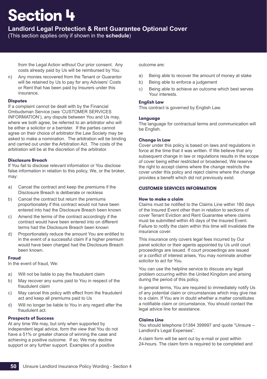### **Landlord Legal Protection & Rent Guarantee Optional Cover**

(This section applies only if shown in the **schedule**)

from the Legal Action without Our prior consent. Any costs already paid by Us will be reimbursed by You.

n) Any monies recovered from the Tenant or Guarantor will be retained by Us to pay for any Advisers' Costs or Rent that has been paid by Insurers under this insurance.

### **Disputes**

If a complaint cannot be dealt with by the Financial Ombudsman Service (see 'CUSTOMER SERVICES INFORMATION'), any dispute between You and Us may, where we both agree, be referred to an arbitrator who will be either a solicitor or a barrister. If the parties cannot agree on their choice of arbitrator the Law Society may be asked to make a nomination. The arbitration will be binding and carried out under the Arbitration Act. The costs of the arbitration will be at the discretion of the arbitrator.

### **Disclosure Breach**

If You fail to disclose relevant information or You disclose false information in relation to this policy, We, or the broker, may:

- a) Cancel the contract and keep the premiums if the Disclosure Breach is deliberate or reckless
- b) Cancel the contract but return the premiums proportionately if this contract would not have been entered into had the Disclosure Breach been known
- c) Amend the terms of the contract accordingly if the contract would have been entered into on different terms had the Disclosure Breach been known
- d) Proportionately reduce the amount You are entitled to in the event of a successful claim if a higher premium would have been charged had the Disclosure Breach been known.

#### **Fraud**

In the event of fraud, We:

- a) Will not be liable to pay the fraudulent claim
- b) May recover any sums paid to You in respect of the fraudulent claim
- c) May cancel this policy with effect from the fraudulent act and keep all premiums paid to Us
- d) Will no longer be liable to You in any regard after the fraudulent act.

### **Prospects of Success**

At any time We may, but only when supported by independent legal advice, form the view that You do not have a 51% or greater chance of winning the case and achieving a positive outcome. If so, We may decline support or any further support. Examples of a positive

outcome are:

- a) Being able to recover the amount of money at stake
- b) Being able to enforce a judgement
- c) Being able to achieve an outcome which best serves Your interests.

### **English Law**

This contract is governed by English Law.

### **Language**

The language for contractual terms and communication will be English.

### **Change in Law**

Cover under this policy is based on laws and regulations in force at the time that it was written. If We believe that any subsequent change in law or regulations results in the scope of cover being either restricted or broadened, We reserve the right to accept claims where the change restricts the cover under this policy and reject claims where the change provides a benefit which did not previously exist.

### **CUSTOMER SERVICES INFORMATION**

### **How to make a claim**

Claims must be notified to the Claims Line within 180 days of the Insured Event other than in relation to sections of cover Tenant Eviction and Rent Guarantee where claims must be submitted within 45 days of the Insured Event. Failure to notify the claim within this time will invalidate the insurance cover.

This insurance only covers legal fees incurred by Our panel solicitor or their agents appointed by Us until court proceedings are issued. If court proceedings are issued or a conflict of interest arises, You may nominate another solicitor to act for You.

You can use the helpline service to discuss any legal problem occurring within the United Kingdom and arising during the period of this policy.

In general terms, You are required to immediately notify Us of any potential claim or circumstances which may give rise to a claim. If You are in doubt whether a matter constitutes a notifiable claim or circumstance, You should contact the legal advice line for assistance.

### **Claims Line**

You should telephone 01384 399997 and quote "Uinsure – Landlord's Legal Expenses".

A claim form will be sent out by e-mail or post within 24-hours. The claim form is required to be completed and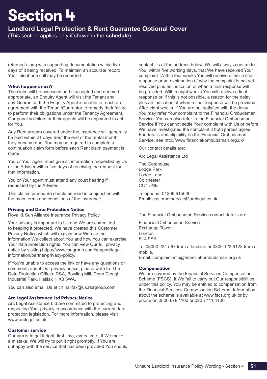### **Landlord Legal Protection & Rent Guarantee Optional Cover**

(This section applies only if shown in the **schedule**)

returned along with supporting documentation within five days of it being received. To maintain an accurate record, Your telephone call may be recorded.

### **What happens next?**

The claim will be assessed and if accepted and deemed appropriate, an Enquiry Agent will visit the Tenant and any Guarantor. If the Enquiry Agent is unable to reach an agreement with the Tenant/Guarantor to remedy their failure to perform their obligations under the Tenancy Agreement, Our panel solicitors or their agents will be appointed to act for You.

Any Rent arrears covered under the insurance will generally be paid within 21 days from the end of the rental month they became due. You may be required to complete a continuation claim form before each Rent claim payment is made.

You or Your agent must give all information requested by Us or the Adviser within five days of receiving the request for that information.

You or Your agent must attend any court hearing if requested by the Adviser.

This claims procedure should be read in conjunction with the main terms and conditions of the insurance.

### **Privacy and Data Protection Notice**

Royal & Sun Alliance Insurance Privacy Policy

Your privacy is important to Us and We are committed to keeping it protected. We have created this Customer Privacy Notice which will explain how We use the information We collect about You and how You can exercise Your data protection rights. You can view Our full privacy notice by visiting https://www.rsagroup.com/support/legalinformation/partner-privacy-policy/

If You're unable to access the link or have any questions or comments about Our privacy notice, please write to: The Data Protection Officer, RSA, Bowling Mill, Dean Clough Industrial Park, Halifax HX3 5WA.

You can also email Us at crt.halifax@uk.rsagroup.com

### **Arc Legal Assistance Ltd Privacy Notice**

Arc Legal Assistance Ltd are committed to protecting and respecting Your privacy in accordance with the current data protection legislation. For more information, please visit www.arclegal.co.uk

### **Customer service**

Our aim is to get it right, first time, every time. If We make a mistake, We will try to put it right promptly. If You are unhappy with the service that has been provided You should contact Us at the address below. We will always confirm to You, within five working days, that We have received Your complaint. Within four weeks You will receive either a final response or an explanation of why the complaint is not yet resolved plus an indication of when a final response will be provided. Within eight weeks You will receive a final response or, if this is not possible, a reason for the delay plus an indication of when a final response will be provided. After eight weeks, if You are not satisfied with the delay You may refer Your complaint to the Financial Ombudsman Service. You can also refer to the Financial Ombudsman Service if You cannot settle Your complaint with Us or before We have investigated the complaint if both parties agree. For details and eligibility on the Financial Ombudsman Service, see http://www.financial-ombudsman.org.uk/

Our contact details are:

Arc Legal Assistance Ltd

The Gatehouse Lodge Park Lodge Lane Colchester CO4 5NE

Telephone: 01206 615000 Email: customerservice@arclegal.co.uk

The Financial Ombudsman Service contact details are:

Financial Ombudsman Service Exchange Tower London E14 9SR

Tel 08000 234 567 from a landline or 0300 123 9123 from a mobile.

Email: complaint.info@financial-ombudsman.org.uk

### **Compensation**

We are covered by the Financial Services Compensation Scheme (FSCS). If We fail to carry out Our responsibilities under this policy, You may be entitled to compensation from the Financial Services Compensation Scheme. Information about the scheme is available at www.fscs.org.uk or by phone on 0800 678 1100 or 020 7741 4100.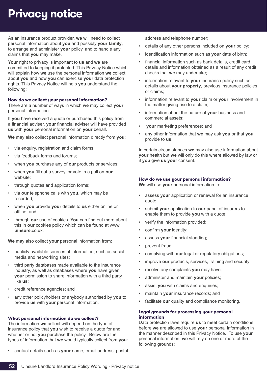### **Privacy notice**

As an insurance product provider, **we** will need to collect personal information about **you**,and possibly **your family**, to arrange and administer **your** policy, and to handle any claims that **you** may make.

**Your** right to privacy is important to **us** and **we** are committed to keeping it protected. This Privacy Notice which will explain how **we** use the personal information **we** collect about **you** and how **you** can exercise **your** data protection rights. This Privacy Notice will help **you** understand the following:

#### **How do we collect your personal information?**

There are a number of ways in which **we** may collect **your** personal information.

If **you** have received a quote or purchased this policy from a financial adviser, **your** financial adviser will have provided **us** with **your** personal information on **your** behalf.

**We** may also collect personal information directly from **you**:

- via enquiry, registration and claim forms:
- via feedback forms and forums;
- when **you** purchase any of **our** products or services;
- when **you** fill out a survey, or vote in a poll on **our** website;
- through quotes and application forms;
- via **our** telephone calls with **you**, which may be recorded;
- when **you** provide **your** details to **us** either online or offline; and
- through **our** use of cookies. **You** can find out more about this in **our** cookies policy which can be found at www. **uinsure**.co.uk.

**We** may also collect **your** personal information from:

- publicly available sources of information, such as social media and networking sites;
- third party databases made available to the insurance industry, as well as databases where **you** have given **your** permission to share information with a third party like **us**;
- credit reference agencies; and
- any other policyholders or anybody authorised by **you** to provide **us** with **your** personal information.

### **What personal information do we collect?**

The information **we** collect will depend on the type of insurance policy that **you** wish to receive a quote for and whether or not **you** purchase the policy. Below are the types of information that **we** would typically collect from **you**:

• contact details such as **your** name, email address, postal

address and telephone number;

- details of any other persons included on **your** policy;
- identification information such as **your** date of birth;
- financial information such as bank details, credit card details and information obtained as a result of any credit checks that **we** may undertake;
- information relevant to **your** insurance policy such as details about **your property**, previous insurance policies or claims;
- information relevant to **your** claim or **your** involvement in the matter giving rise to a claim;
- information about the nature of **your** business and commercial assets;
- **your** marketing preferences; and
- any other information that **we** may ask **you** or that **you** provide to **us**.

In certain circumstances **we** may also use information about **your** health but **we** will only do this where allowed by law or if **you** give **us your** consent.

#### **How do we use your personal information?**

**We** will use **your** personal information to:

- assess **your** application or renewal for an insurance quote;
- submit **your** application to **our** panel of insurers to enable them to provide **you** with a quote;
- verify the information provided:
- confirm **your** identity;
- assess **your** financial standing;
- prevent fraud;
- complying with **our** legal or regulatory obligations;
- improve our products, services, training and security;
- resolve any complaints **you** may have;
- administer and maintain **your** policies;
- assist **you** with claims and enquiries;
- maintain **your** insurance records; and
- facilitate our quality and compliance monitoring.

### **Legal grounds for processing your personal information**

Data protection laws require **us** to meet certain conditions before **we** are allowed to use **your** personal information in the manner described in this Privacy Notice. To use **your** personal information, **we** will rely on one or more of the following grounds: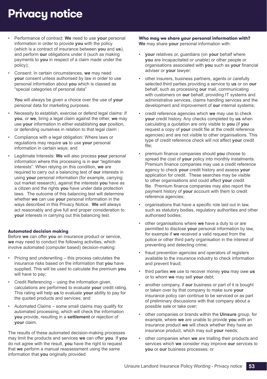## **Privacy notice**

- Performance of contract: **We** need to use **your** personal information in order to provide **you** with the policy (which is a contract of insurance between **you** and **us**), and perform **our** obligations under it (such as making payments to **you** in respect of a claim made under the policy);
- Consent: In certain circumstances, **we** may need **your** consent unless authorised by law in order to use personal information about **you** which is classed as "special categories of personal data"

**You** will always be given a choice over the use of **your** personal data for marketing purposes.

- Necessity to establish, exercise or defend legal claims: If **you**, or **we**, bring a legal claim against the other, **we** may use **your** information in either establishing **our** position, or defending ourselves in relation to that legal claim ;
- Compliance with a legal obligation: Where laws or regulations may require **us** to use **your** personal information in certain ways; and
- Legitimate Interests: **We** will also process **your** personal information where this processing is in **our** "legitimate interests". When relying on this condition, **we** are required to carry out a balancing test of **our** interests in using **your** personal information (for example, carrying out market research), against the interests **you** have as a citizen and the rights **you** have under data protection laws. The outcome of this balancing test will determine whether **we** can use **your** personal information in the ways described in this Privacy Notice. **We** will always act reasonably and give full and proper consideration to **your** interests in carrying out this balancing test.

### **Automated decision making**

Before **we** can offer **you** an insurance product or service, **we** may need to conduct the following activities, which involve automated (computer based) decision-making:

- Pricing and underwriting this process calculates the insurance risks based on the information that **you** have supplied. This will be used to calculate the premium **you** will have to pay;
- Credit Referencing using the information given, calculations are performed to evaluate **your** credit rating. This rating will help **us** to evaluate **your** ability to pay for the quoted products and services; and
- Automated Claims some small claims may qualify for automated processing, which will check the information **you** provide, resulting in a **settlement** or rejection of **your** claim.

The results of these automated decision-making processes may limit the products and services **we** can offer **you**. If **you** do not agree with the result, **you** have the right to request that **we** perform a manual reassessment using the same information that **you** originally provided.

**Who may we share your personal information with? We** may share **your** personal information with:

- **your** relatives or, guardians (on **your** behalf where **you** are incapacitated or unable) or other people or organisations associated with **you** such as **your** financial adviser or **your** lawyer;
- other insurers, business partners, agents or carefully selected third parties providing a service to **us** or on **our** behalf, such as processing **our** mail, communicating with customers on **our** behalf, providing IT systems and administrative services, claims handling services and the development and improvement of **our** internal systems;
- credit reference agencies which **we** may use to check **your** credit history. Any checks completed by **us** when calculating a quotation are only visible to **you** (if **you** request a copy of **your** credit file at the credit reference agencies) and are not visible to other organisations. This type of credit reference check will not affect **your** credit file;
- premium finance companies should **you** choose to spread the cost of **your** policy into monthly instalments. Premium finance companies may use a credit reference agency to check **your** credit history and assess **your** application for credit. These searches may be visible to other organisations and could affect **your** credit file. Premium finance companies may also report the payment history of **your** account with them to credit reference agencies;
- organisations that have a specific role laid out in law, such as statutory bodies, regulatory authorities and other authorised bodies;
- other organisations where **we** have a duty to or are permitted to disclose **your** personal information by law, for example if **we** received a valid request from the police or other third party organisation in the interest of preventing and detecting crime;
- fraud prevention agencies and operators of registers available to the insurance industry to check information and prevent fraud;
- third parties **we** use to recover money **you** may owe **us** or to whom **we** may sell **your** debt;
- another company, if **our** business or part of it is bought or taken over by that company to make sure **your** insurance policy can continue to be serviced or as part of preliminary discussions with that company about a possible sale or take over;
- other companies or brands within the **Uinsure** group, for example, where **we** are unable to provide **you** with an insurance product **we** will check whether they have an insurance product, which may suit **your** needs;
- other companies when **we** are trialling their products and services which **we** consider may improve **our** services to **you** or **our** business processes; or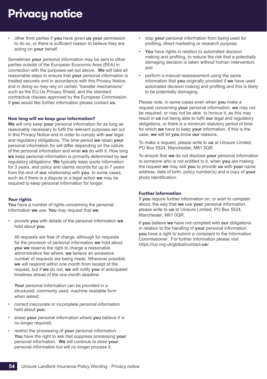### **Privacy notice**

• other third parties if **you** have given **us your** permission to do so, or there is sufficient reason to believe they are acting on **your** behalf.

Sometimes **your** personal information may be sent to other parties outside of the European Economic Area (EEA) in connection with the purposes set out above. **We** will take all reasonable steps to ensure that **your** personal information is treated securely and in accordance with this Privacy Notice, and in doing so may rely on certain "transfer mechanisms" such as the EU-Us Privacy Shield, and the standard contractual clauses approved by the European Commission. If **you** would like further information please contact **us**.

### **How long will we keep your information?**

**We** will only keep **your** personal information for as long as reasonably necessary to fulfil the relevant purposes set out in this Privacy Notice and in order to comply with **our** legal and regulatory obligations. The time period **we** retain **your** personal information for will differ depending on the nature of the personal information and what **we** do with it. How long **we** keep personal information is primarily determined by **our** regulatory obligations. **We** typically keep quote information for 3 years, and policy and claims records for up to 7 years from the end of **our** relationship with **you**. In some cases, such as if there is a dispute or a legal action **we** may be required to keep personal information for longer.

### **Your rights**

**You** have a number of rights concerning the personal information **we** use. **You** may request that **we**:

• provide **you** with details of the personal information **we** hold about **you**.

All requests are free of charge, although for requests for the provision of personal information **we** hold about **you we** reserve the right to charge a reasonable administrative fee where, **we** believe an excessive number of requests are being made. Wherever possible, **we** will respond within one month from receipt of the request, but if **we** do not, **we** will notify **you** of anticipated timelines ahead of the one month deadline.

**Your** personal information can be provided in a structured, commonly used, machine readable form when asked;

- correct inaccurate or incomplete personal information held about **you**;
- erase **your** personal information where **you** believe it is no longer required;
- restrict the processing of **your** personal information. **You** have the right to ask that suppress processing **your** personal information. **We** will continue to store **your** personal information but will no longer process it;
- stop **your** personal information from being used for profiling, direct marketing or research purpose;
- You have rights in relation to automated decision making and profiling, to reduce the risk that a potentially damaging decision is taken without human intervention; and
- perform a manual reassessment using the same information that **you** originally provided if **we** have used automated decision making and profiling and this is likely to be potentially damaging.

Please note, in some cases even when **you** make a request concerning **your** personal information, **we** may not be required, or may not be able, to honour it, as this may result in **us** not being able to fulfil **our** legal and regulatory obligations, or there is a minimum statutory period of time for which **we** have to keep **your** information. If this is the case, **we** will let **you** know **our** reasons.

To make a request, please write to **us** at Uinsure Limited, PO Box 5524, Manchester, M61 0QR.

To ensure that **we** do not disclose **your** personal information to someone who is not entitled to it, when **you** are making the request **we** may ask **you** to provide **us** with **your** name, address, date of birth, policy number(s) and a copy of **your** photo identification.

### **Further information**

If **you** require further information on, or wish to complain about, the way that **we** use **your** personal information, please write to **us** at Uinsure Limited, PO Box 5524, Manchester, M61 0QR.

If **you** believe **we** have not complied with **our** obligations in relation to the handling of **your** personal information **you** have a right to submit a complaint to the Information Commissioner. For further information please visit https://ico.org.uk/global/contact-**us**/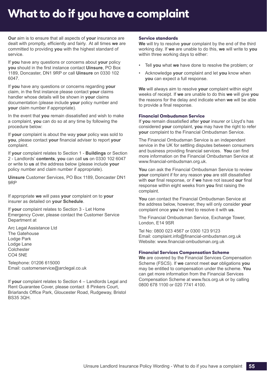### **What to do if you have a complaint**

**Our** aim is to ensure that all aspects of **your** insurance are dealt with promptly, efficiently and fairly. At all times **we** are committed to providing **you** with the highest standard of service.

If **you** have any questions or concerns about **your** policy **you** should in the first instance contact **Uinsure**, PO Box 1189, Doncaster, DN1 9RP or call **Uinsure** on 0330 102 6047.

If **you** have any questions or concerns regarding **your** claim, in the first instance please contact **your** claims handler whose details will be shown in **your** claims documentation (please include **your** policy number and **your** claim number if appropriate).

In the event that **you** remain dissatisfied and wish to make a complaint, **you** can do so at any time by following the procedure below:

If **your** complaint is about the way **your** policy was sold to **you**, please contact **your** financial adviser to report **your** complaint.

If **your** complaint relates to Section 1 - **Buildings** or Section 2 - Landlords' **contents**, **you** can call **us** on 0330 102 6047 or write to **us** at the address below (please include **your** policy number and claim number if appropriate).

**Uinsure** Customer Services, PO Box 1189, Doncaster DN1 9RP

If appropriate **we** will pass **your** complaint on to **your** insurer as detailed on **your Schedule**.

If **your** complaint relates to Section 3 - Let Home Emergency Cover, please contact the Customer Service Department at

Arc Legal Assistance Ltd The Gatehouse Lodge Park Lodge Lane Colchester CO4 5NE

Telephone: 01206 615000 Email: customerservice@arclegal.co.uk

If **your** complaint relates to Section 4 – Landlords Legal and Rent Guarantee Cover, please contact 8 Pinkers Court, Briarlands Office Park, Gloucester Road, Rudgeway, Bristol BS35 3QH.

### **Service standards**

**We** will try to resolve **your** complaint by the end of the third working day. If **we** are unable to do this, **we** will write to **you** within three working days to either:

- Tell **you** what **we** have done to resolve the problem; or
- Acknowledge **your** complaint and let **you** know when **you** can expect a full response.

**We** will always aim to resolve **your** complaint within eight weeks of receipt. If **we** are unable to do this **we** will give **you** the reasons for the delay and indicate when **we** will be able to provide a final response.

### **Financial Ombudsman Service**

If **you** remain dissatisfied after **your** insurer or Lloyd's has considered **your** complaint, **you** may have the right to refer **your** complaint to the Financial Ombudsman Service.

The Financial Ombudsman Service is an independent service in the UK for settling disputes between consumers and business providing financial services. **You** can find more information on the Financial Ombudsman Service at www.financial-ombudsman.org.uk.

**You** can ask the Financial Ombudsman Service to review **your** complaint if for any reason **you** are still dissatisfied with **our** final response, or if **we** have not issued **our** final response within eight weeks from **you** first raising the complaint.

**You** can contact the Financial Ombudsman Service at the address below, however, they will only consider **your** complaint once **you**'ve tried to resolve it with **us**.

The Financial Ombudsman Service, Exchange Tower, London, E14 9SR

Tel No: 0800 023 4567 or 0300 123 9123 Email: complaint.info@financial-ombudsman.org.uk Website: www.financial-ombudsman.org.uk

### **Financial Services Compensation Scheme**

**We** are covered by the Financial Services Compensation Scheme (FSCS). If **we** cannot meet **our** obligations **you** may be entitled to compensation under the scheme. **You** can get more information from the Financial Services Compensation Scheme at www.fscs.org.uk or by calling 0800 678 1100 or 020 7741 4100.